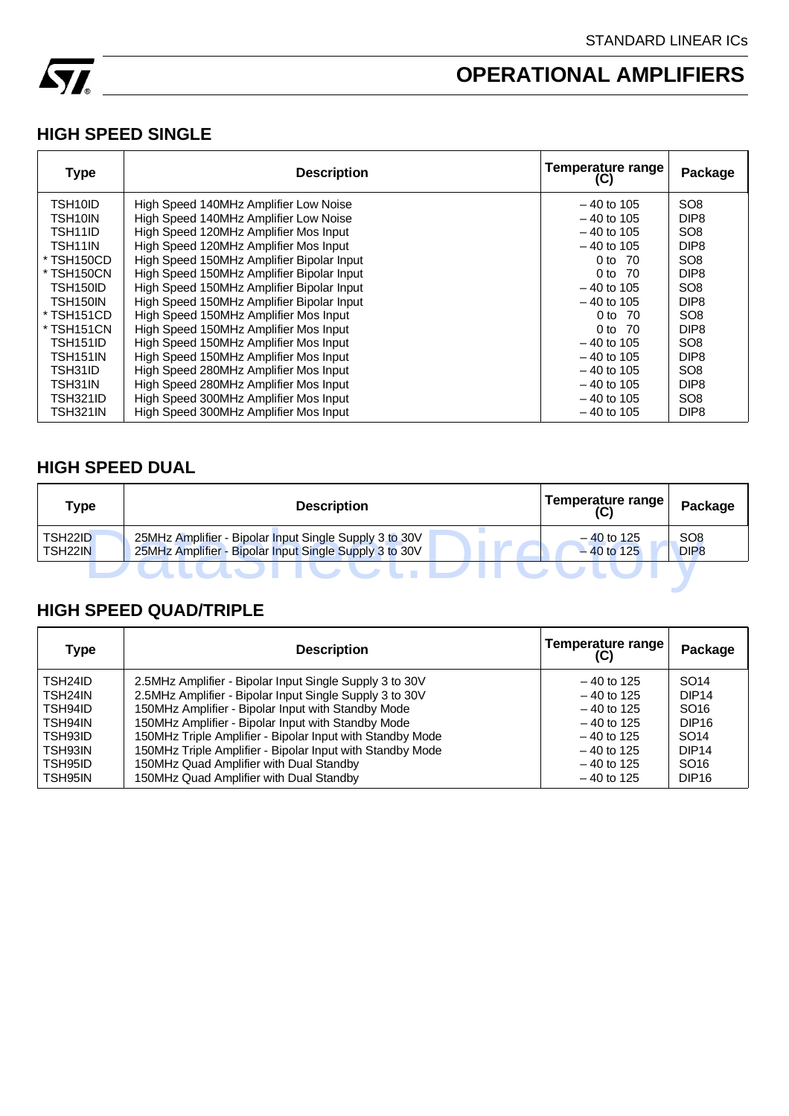

### **HIGH SPEED SINGLE**

| <b>Type</b>          | <b>Description</b>                        | <b>Temperature range</b><br>(C) | Package          |
|----------------------|-------------------------------------------|---------------------------------|------------------|
| TSH <sub>10</sub> ID | High Speed 140MHz Amplifier Low Noise     | $-40$ to 105                    | SO <sub>8</sub>  |
| TSH10IN              | High Speed 140MHz Amplifier Low Noise     | $-40$ to 105                    | DIP <sub>8</sub> |
| TSH11ID              | High Speed 120MHz Amplifier Mos Input     | $-40$ to 105                    | SO <sub>8</sub>  |
| TSH11IN              | High Speed 120MHz Amplifier Mos Input     | $-40$ to 105                    | DIP <sub>8</sub> |
| * TSH150CD           | High Speed 150MHz Amplifier Bipolar Input | 0 to 70                         | SO <sub>8</sub>  |
| * TSH150CN           | High Speed 150MHz Amplifier Bipolar Input | 0 to 70                         | DIP <sub>8</sub> |
| TSH150ID             | High Speed 150MHz Amplifier Bipolar Input | $-40$ to 105                    | SO <sub>8</sub>  |
| <b>TSH150IN</b>      | High Speed 150MHz Amplifier Bipolar Input | $-40$ to 105                    | DIP <sub>8</sub> |
| * TSH151CD           | High Speed 150MHz Amplifier Mos Input     | 0 to 70                         | SO <sub>8</sub>  |
| * TSH151CN           | High Speed 150MHz Amplifier Mos Input     | 0 to 70                         | DIP <sub>8</sub> |
| <b>TSH151ID</b>      | High Speed 150MHz Amplifier Mos Input     | $-40$ to 105                    | SO <sub>8</sub>  |
| TSH151IN             | High Speed 150MHz Amplifier Mos Input     | $-40$ to 105                    | DIP <sub>8</sub> |
| TSH31ID              | High Speed 280MHz Amplifier Mos Input     | $-40$ to 105                    | SO <sub>8</sub>  |
| TSH31IN              | High Speed 280MHz Amplifier Mos Input     | $-40$ to 105                    | DIP <sub>8</sub> |
| TSH321ID             | High Speed 300MHz Amplifier Mos Input     | $-40$ to 105                    | SO <sub>8</sub>  |
| TSH321IN             | High Speed 300MHz Amplifier Mos Input     | $-40$ to 105                    | DIP <sub>8</sub> |

### **HIGH SPEED DUAL**

| Type                                         | <b>Description</b>                                                                                               | Temperature range<br>(C)     | Package                             |
|----------------------------------------------|------------------------------------------------------------------------------------------------------------------|------------------------------|-------------------------------------|
| TSH <sub>22</sub> ID<br>TSH <sub>22</sub> IN | 25MHz Amplifier - Bipolar Input Single Supply 3 to 30V<br>25MHz Amplifier - Bipolar Input Single Supply 3 to 30V | $-40$ to 125<br>$-40$ to 125 | SO <sub>8</sub><br>DIP <sub>8</sub> |
|                                              |                                                                                                                  |                              |                                     |

### **HIGH SPEED QUAD/TRIPLE**

| Type                 | <b>Description</b>                                        | Temperature range<br>(C) | Package           |
|----------------------|-----------------------------------------------------------|--------------------------|-------------------|
| TSH <sub>24</sub> ID | 2.5MHz Amplifier - Bipolar Input Single Supply 3 to 30V   | $-40$ to 125             | SO <sub>14</sub>  |
| TSH <sub>24</sub> IN | 2.5MHz Amplifier - Bipolar Input Single Supply 3 to 30V   | $-40$ to 125             | DIP <sub>14</sub> |
| TSH94ID              | 150MHz Amplifier - Bipolar Input with Standby Mode        | $-40$ to 125             | SO <sub>16</sub>  |
| TSH94IN              | 150MHz Amplifier - Bipolar Input with Standby Mode        | $-40$ to 125             | DIP <sub>16</sub> |
| TSH93ID              | 150MHz Triple Amplifier - Bipolar Input with Standby Mode | $-40$ to 125             | SO <sub>14</sub>  |
| TSH93IN              | 150MHz Triple Amplifier - Bipolar Input with Standby Mode | $-40$ to 125             | DIP <sub>14</sub> |
| TSH95ID              | 150MHz Quad Amplifier with Dual Standby                   | $-40$ to 125             | SO <sub>16</sub>  |
| TSH95IN              | 150MHz Quad Amplifier with Dual Standby                   | $-40$ to 125             | DIP <sub>16</sub> |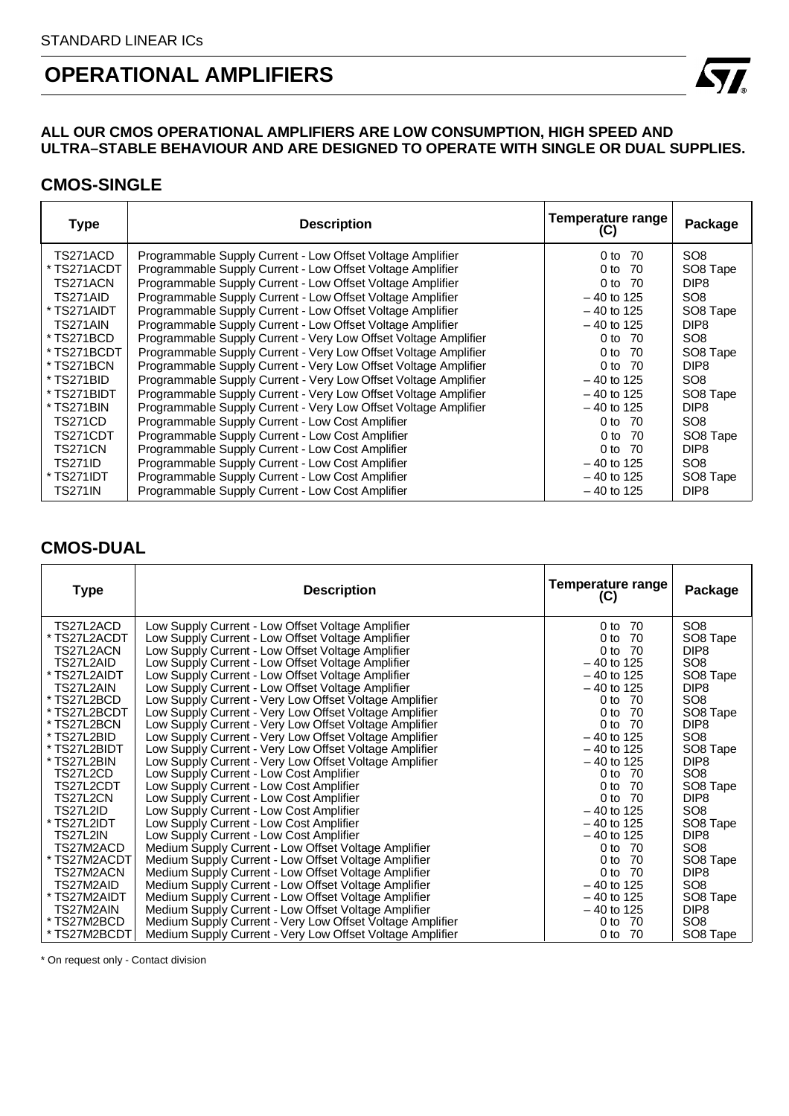#### **ALL OUR CMOS OPERATIONAL AMPLIFIERS ARE LOW CONSUMPTION, HIGH SPEED AND ULTRA–STABLE BEHAVIOUR AND ARE DESIGNED TO OPERATE WITH SINGLE OR DUAL SUPPLIES.**

#### **CMOS-SINGLE**

| <b>Type</b>    | <b>Description</b>                                              | Temperature range<br>(C) | Package              |
|----------------|-----------------------------------------------------------------|--------------------------|----------------------|
| TS271ACD       | Programmable Supply Current - Low Offset Voltage Amplifier      | 0 to 70                  | SO <sub>8</sub>      |
| * TS271ACDT    | Programmable Supply Current - Low Offset Voltage Amplifier      | 0 <sub>to</sub><br>- 70  | SO <sub>8</sub> Tape |
| TS271ACN       | Programmable Supply Current - Low Offset Voltage Amplifier      | $0$ to<br>- 70           | DIP <sub>8</sub>     |
| TS271AID       | Programmable Supply Current - Low Offset Voltage Amplifier      | $-40$ to 125             | SO <sub>8</sub>      |
| * TS271AIDT    | Programmable Supply Current - Low Offset Voltage Amplifier      | $-40$ to 125             | SO8 Tape             |
| TS271AIN       | Programmable Supply Current - Low Offset Voltage Amplifier      | $-40$ to 125             | DIP <sub>8</sub>     |
| * TS271BCD     | Programmable Supply Current - Very Low Offset Voltage Amplifier | 0 to 70                  | SO <sub>8</sub>      |
| * TS271BCDT    | Programmable Supply Current - Very Low Offset Voltage Amplifier | 0 to 70                  | SO8 Tape             |
| * TS271BCN     | Programmable Supply Current - Very Low Offset Voltage Amplifier | 0 to 70                  | DIP <sub>8</sub>     |
| * TS271BID     | Programmable Supply Current - Very Low Offset Voltage Amplifier | $-40$ to 125             | SO <sub>8</sub>      |
| * TS271BIDT    | Programmable Supply Current - Very Low Offset Voltage Amplifier | $-40$ to 125             | SO <sub>8</sub> Tape |
| * TS271BIN     | Programmable Supply Current - Very Low Offset Voltage Amplifier | $-40$ to 125             | DIP <sub>8</sub>     |
| <b>TS271CD</b> | Programmable Supply Current - Low Cost Amplifier                | 0 to 70                  | SO <sub>8</sub>      |
| TS271CDT       | Programmable Supply Current - Low Cost Amplifier                | 0 to $70$                | SO <sub>8</sub> Tape |
| <b>TS271CN</b> | Programmable Supply Current - Low Cost Amplifier                | 0 to 70                  | DIP <sub>8</sub>     |
| <b>TS271ID</b> | Programmable Supply Current - Low Cost Amplifier                | $-40$ to 125             | SO <sub>8</sub>      |
| * TS271IDT     | Programmable Supply Current - Low Cost Amplifier                | $-40$ to 125             | SO <sub>8</sub> Tape |
| <b>TS271IN</b> | Programmable Supply Current - Low Cost Amplifier                | $-40$ to 125             | DIP <sub>8</sub>     |

### **CMOS-DUAL**

| <b>Type</b>  | <b>Description</b>                                        | <b>Temperature range</b><br>(C) | Package              |
|--------------|-----------------------------------------------------------|---------------------------------|----------------------|
| TS27L2ACD_   | Low Supply Current - Low Offset Voltage Amplifier         | - 70<br>0 <sub>to</sub>         | SO <sub>8</sub>      |
| TS27L2ACDT   | Low Supply Current - Low Offset Voltage Amplifier         | 0 to 70                         | SO8 Tape             |
| TS27L2ACN    | Low Supply Current - Low Offset Voltage Amplifier         | 0 <sub>to</sub><br>-70          | DIP <sub>8</sub>     |
| TS27L2AID    | Low Supply Current - Low Offset Voltage Amplifier         | $-40$ to 125                    | SO <sub>8</sub>      |
| TS27L2AIDT   | Low Supply Current - Low Offset Voltage Amplifier         | $-40$ to 125                    | SO8 Tape             |
| TS27L2AIN    | Low Supply Current - Low Offset Voltage Amplifier         | $-40$ to 125                    | DIP <sub>8</sub>     |
| * TS27L2BCD  | Low Supply Current - Very Low Offset Voltage Amplifier    | 0 to 70                         | SO <sub>8</sub>      |
| * TS27L2BCDT | Low Supply Current - Very Low Offset Voltage Amplifier    | 0 to<br>-70                     | SO <sub>8</sub> Tape |
| * TS27L2BCN  | Low Supply Current - Very Low Offset Voltage Amplifier    | 0 <sub>to</sub><br>- 70         | DIP <sub>8</sub>     |
| * TS27L2BID  | Low Supply Current - Very Low Offset Voltage Amplifier    | $-40$ to 125                    | SO <sub>8</sub>      |
| * TS27L2BIDT | Low Supply Current - Very Low Offset Voltage Amplifier    | $-40$ to 125                    | SO8 Tape             |
| * TS27L2BIN  | Low Supply Current - Very Low Offset Voltage Amplifier    | $-40$ to 125                    | DIP <sub>8</sub>     |
| TS27L2CD     | Low Supply Current - Low Cost Amplifier                   | 0 to 70                         | SO <sub>8</sub>      |
| TS27L2CDT    | Low Supply Current - Low Cost Amplifier                   | 0 <sub>to</sub><br>- 70         | SO8 Tape             |
| TS27L2CN     | Low Supply Current - Low Cost Amplifier                   | $0$ to<br>- 70                  | DIP <sub>8</sub>     |
| TS27L2ID     | Low Supply Current - Low Cost Amplifier                   | $-40$ to 125                    | SO <sub>8</sub>      |
| TS27L2IDT    | Low Supply Current - Low Cost Amplifier                   | $-40$ to 125                    | SO8 Tape             |
| TS27L2IN     | Low Supply Current - Low Cost Amplifier                   | $-40$ to 125                    | DIP <sub>8</sub>     |
| TS27M2ACD    | Medium Supply Current - Low Offset Voltage Amplifier      | 0 to 70                         | SO <sub>8</sub>      |
| * TS27M2ACDT | Medium Supply Current - Low Offset Voltage Amplifier      | -70<br>0 to                     | SO8 Tape             |
| TS27M2ACN    | Medium Supply Current - Low Offset Voltage Amplifier      | 0 <sub>to</sub><br>- 70         | DIP <sub>8</sub>     |
| TS27M2AID    | Medium Supply Current - Low Offset Voltage Amplifier      | $-40$ to 125                    | SO <sub>8</sub>      |
| * TS27M2AIDT | Medium Supply Current - Low Offset Voltage Amplifier      | $-40$ to 125                    | SO <sub>8</sub> Tape |
| TS27M2AIN    | Medium Supply Current - Low Offset Voltage Amplifier      | $-40$ to 125                    | DIP <sub>8</sub>     |
| * TS27M2BCD  | Medium Supply Current - Very Low Offset Voltage Amplifier | 0 to 70                         | SO <sub>8</sub>      |
| * TS27M2BCDT | Medium Supply Current - Very Low Offset Voltage Amplifier | 0 to 70                         | SO8 Tape             |

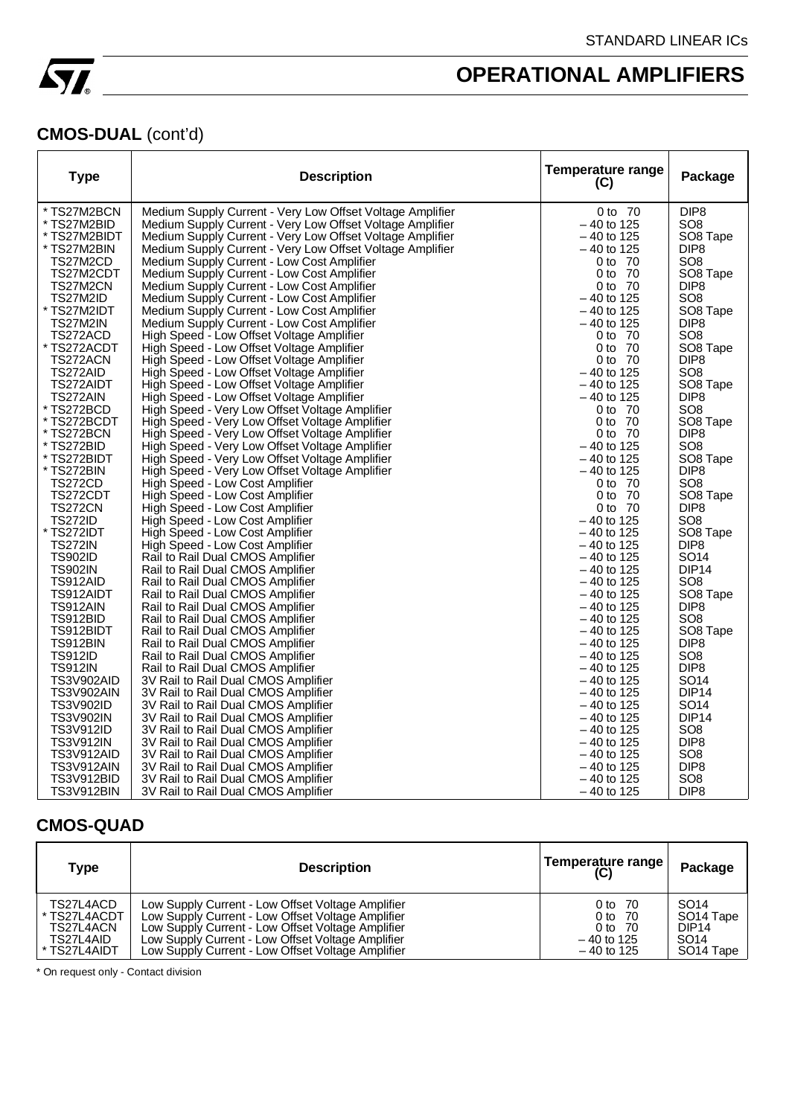

### **CMOS-DUAL** (cont'd)

| <b>Type</b>      | <b>Description</b>                                        | <b>Temperature range</b><br>(C) | Package           |
|------------------|-----------------------------------------------------------|---------------------------------|-------------------|
| * TS27M2BCN      | Medium Supply Current - Very Low Offset Voltage Amplifier | 0 to 70                         | DIP <sub>8</sub>  |
| * TS27M2BID      | Medium Supply Current - Very Low Offset Voltage Amplifier | $-40$ to 125                    | SO8               |
| * TS27M2BIDT     | Medium Supply Current - Very Low Offset Voltage Amplifier | – 40 to 125                     | SO8 Tape          |
| * TS27M2BIN      | Medium Supply Current - Very Low Offset Voltage Amplifier | $-40$ to 125                    | DIP8              |
| TS27M2CD         | Medium Supply Current - Low Cost Amplifier                | 0 to 70                         | SO8               |
| TS27M2CDT        | Medium Supply Current - Low Cost Amplifier                | 0 to 70                         | SO8 Tape          |
| TS27M2CN         | Medium Supply Current - Low Cost Amplifier                | 0 to 70                         | DIP8              |
| TS27M2ID         | Medium Supply Current - Low Cost Amplifier                | $-40$ to 125                    | SO8               |
| * TS27M2IDT      | Medium Supply Current - Low Cost Amplifier                | – 40 to 125                     | SO8 Tape          |
| TS27M2IN         | Medium Supply Current - Low Cost Amplifier                | - 40 to 125                     | DIP8              |
| TS272ACD         | High Speed - Low Offset Voltage Amplifier                 | 0 to 70                         | SO <sub>8</sub>   |
| * TS272ACDT      | High Speed - Low Offset Voltage Amplifier                 | 0 to 70                         | SO8 Tape          |
| TS272ACN         | High Speed - Low Offset Voltage Amplifier                 | 0 to 70                         | DIP <sub>8</sub>  |
| TS272AID         | High Speed - Low Offset Voltage Amplifier                 | - 40 to 125                     | SO <sub>8</sub>   |
| TS272AIDT        | High Speed - Low Offset Voltage Amplifier                 | – 40 to 125                     | SO8 Tape          |
| TS272AIN         | High Speed - Low Offset Voltage Amplifier                 | $-40$ to 125                    | DIP <sub>8</sub>  |
| * TS272BCD       | High Speed - Very Low Offset Voltage Amplifier            | 0 to 70                         | SO <sub>8</sub>   |
| * TS272BCDT      | High Speed - Very Low Offset Voltage Amplifier            | 0 to 70                         | SO8 Tape          |
| * TS272BCN       | High Speed - Very Low Offset Voltage Amplifier            | 0 to 70                         | DIP <sub>8</sub>  |
| * TS272BID       | High Speed - Very Low Offset Voltage Amplifier            | $-40$ to 125                    | SO8               |
| * TS272BIDT      | High Speed - Very Low Offset Voltage Amplifier            | $-40$ to 125                    | SO8 Tape          |
| * TS272BIN       | High Speed - Very Low Offset Voltage Amplifier            | $-40$ to 125                    | DIP <sub>8</sub>  |
| TS272CD          | High Speed - Low Cost Amplifier                           | 0 to 70                         | SO8               |
| TS272CDT         | High Speed - Low Cost Amplifier                           | 0 to 70                         | SO8 Tape          |
| <b>TS272CN</b>   | High Speed - Low Cost Amplifier                           | 0 to 70                         | DIP8              |
| TS272ID          | High Speed - Low Cost Amplifier                           | $-40$ to 125                    | SO <sub>8</sub>   |
| * TS272IDT       | High Speed - Low Cost Amplifier                           | - 40 to 125                     | SO8 Tape          |
| <b>TS272IN</b>   | High Speed - Low Cost Amplifier                           | -40 to 125                      | DIP <sub>8</sub>  |
| <b>TS902ID</b>   | Rail to Rail Dual CMOS Amplifier                          | $-40$ to 125                    | SO14              |
| <b>TS902IN</b>   | Rail to Rail Dual CMOS Amplifier                          | $-40$ to 125                    | DIP <sub>14</sub> |
| TS912AID         | Rail to Rail Dual CMOS Amplifier                          | $-40$ to 125                    | SO8               |
| TS912AIDT        | Rail to Rail Dual CMOS Amplifier                          | $-40$ to 125                    | SO8 Tape          |
| TS912AIN         | Rail to Rail Dual CMOS Amplifier                          | -40 to 125                      | DIP <sub>8</sub>  |
| TS912BID         | Rail to Rail Dual CMOS Amplifier                          | $-40$ to 125                    | SO <sub>8</sub>   |
| TS912BIDT        | Rail to Rail Dual CMOS Amplifier                          | $-40$ to 125                    | SO8 Tape          |
| TS912BIN         | Rail to Rail Dual CMOS Amplifier                          | $-40$ to 125                    | DIP <sub>8</sub>  |
| <b>TS912ID</b>   | Rail to Rail Dual CMOS Amplifier                          | – 40 to 125                     | SO8               |
| <b>TS912IN</b>   | Rail to Rail Dual CMOS Amplifier                          | - 40 to 125                     | DIP <sub>8</sub>  |
| TS3V902AID       | 3V Rail to Rail Dual CMOS Amplifier                       | - 40 to 125                     | SO14              |
| TS3V902AIN       | 3V Rail to Rail Dual CMOS Amplifier                       | $-40$ to 125                    | DIP <sub>14</sub> |
| <b>TS3V902ID</b> | 3V Rail to Rail Dual CMOS Amplifier                       | $-40$ to 125                    | SO <sub>14</sub>  |
| <b>TS3V902IN</b> | 3V Rail to Rail Dual CMOS Amplifier                       | $-40$ to 125                    | DIP <sub>14</sub> |
| <b>TS3V912ID</b> | 3V Rail to Rail Dual CMOS Amplifier                       | $-40$ to 125                    | SO8               |
| <b>TS3V912IN</b> | 3V Rail to Rail Dual CMOS Amplifier                       | – 40 to 125                     | DIP <sub>8</sub>  |
| TS3V912AID       | 3V Rail to Rail Dual CMOS Amplifier                       | - 40 to 125                     | SO <sub>8</sub>   |
| TS3V912AIN       | 3V Rail to Rail Dual CMOS Amplifier                       | $-40$ to 125                    | DIP <sub>8</sub>  |
| TS3V912BID       | 3V Rail to Rail Dual CMOS Amplifier                       | - 40 to 125                     | SO <sub>8</sub>   |
| TS3V912BIN       | 3V Rail to Rail Dual CMOS Amplifier                       | $-40$ to 125                    | DIP <sub>8</sub>  |

### **CMOS-QUAD**

| Type         | <b>Description</b>                                | Temperature range<br>(C) | Package               |
|--------------|---------------------------------------------------|--------------------------|-----------------------|
| TS27L4ACD    | Low Supply Current - Low Offset Voltage Amplifier | 0 to 70                  | SO <sub>14</sub>      |
| * TS27L4ACDT | Low Supply Current - Low Offset Voltage Amplifier | 0 to 70                  | SO <sub>14</sub> Tape |
| TS27L4ACN    | Low Supply Current - Low Offset Voltage Amplifier | 0 to 70                  | DIP <sub>14</sub>     |
| TS27L4AID    | Low Supply Current - Low Offset Voltage Amplifier | $-40$ to 125             | SO <sub>14</sub>      |
| * TS27L4AIDT | Low Supply Current - Low Offset Voltage Amplifier | $-40$ to 125             | SO <sub>14</sub> Tape |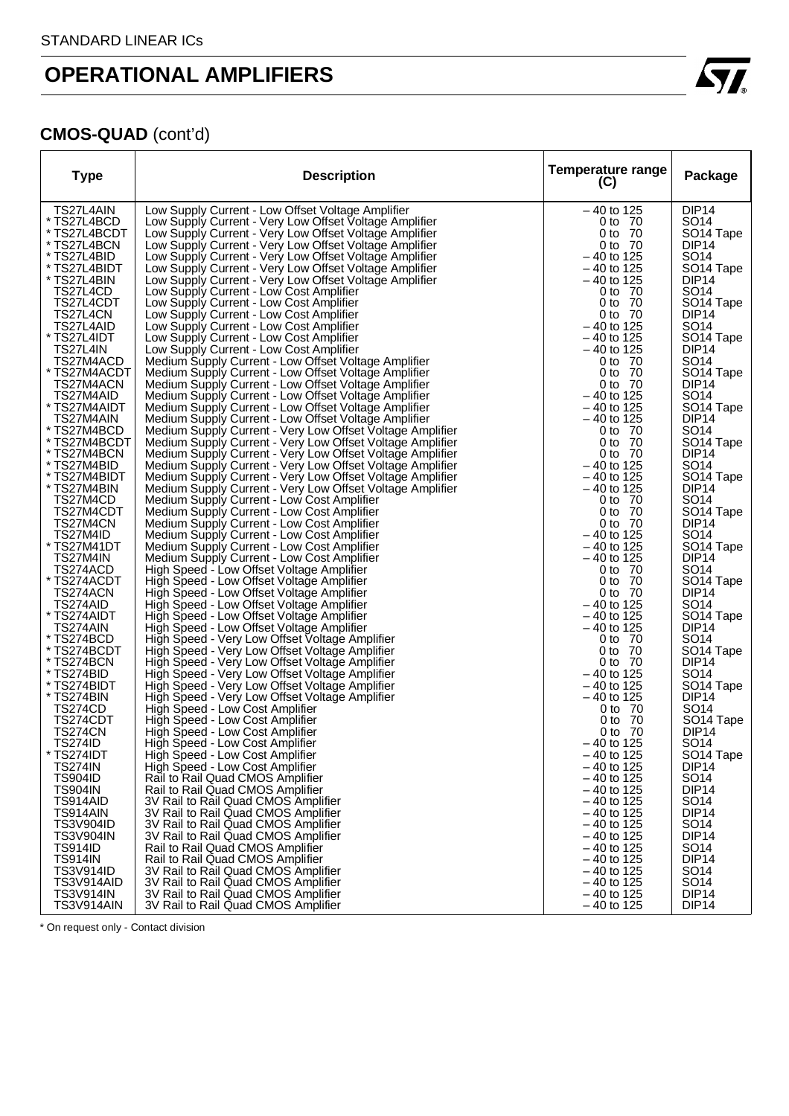

### **CMOS-QUAD** (cont'd)

| <b>Type</b>                        | <b>Description</b>                                                                                                     | Temperature range<br>(C)     | Package                                    |
|------------------------------------|------------------------------------------------------------------------------------------------------------------------|------------------------------|--------------------------------------------|
| TS27L4AIN                          | Low Supply Current - Low Offset Voltage Amplifier                                                                      | $-40$ to 125                 | DIP <sub>14</sub>                          |
| TS27L4BCD                          | Low Supply Current - Very Low Offset Voltage Amplifier                                                                 | 0 to 70                      | SO <sub>14</sub>                           |
| TS27L4BCDT                         | Low Supply Current - Very Low Offset Voltage Amplifier                                                                 | 0 to 70                      | SO <sub>14</sub> Tape                      |
| TS27L4BCN                          | Low Supply Current - Very Low Offset Voltage Amplifier                                                                 | 0 to 70                      | DIP <sub>14</sub>                          |
| TS27L4BID                          | Low Supply Current - Very Low Offset Voltage Amplifier                                                                 | – 40 to 125                  | SO <sub>14</sub>                           |
| TS27L4BIDT                         | Low Supply Current - Very Low Offset Voltage Amplifier                                                                 | $-40$ to 125                 | SO <sub>14</sub> Tape                      |
| TS27L4BIN                          | Low Supply Current - Very Low Offset Voltage Amplifier                                                                 | $-40$ to 125                 | DIP <sub>14</sub>                          |
| TS27L4CD                           | Low Supply Current - Low Cost Amplifier                                                                                | 0 to 70                      | SO <sub>14</sub>                           |
| TS27L4CDT                          | Low Supply Current - Low Cost Amplifier                                                                                | 0 to 70                      | SO <sub>14</sub> Tape<br>DIP <sub>14</sub> |
| TS27L4CN<br>TS27L4AID              | Low Supply Current - Low Cost Amplifier<br>Low Supply Current - Low Cost Amplifier                                     | 0 to 70<br>$-40$ to 125      | SO <sub>14</sub>                           |
| TS27L4IDT                          | Low Supply Current - Low Cost Amplifier                                                                                | $-40$ to 125                 | SO <sub>14</sub> Tape                      |
| TS27L4IN                           | Low Supply Current - Low Cost Amplifier                                                                                | – 40 to 125                  | DIP14                                      |
| TS27M4ACD                          | Medium Supply Current - Low Offset Voltage Amplifier                                                                   | 0 to 70                      | SO <sub>14</sub>                           |
| TS27M4ACDT                         | Medium Supply Current - Low Offset Voltage Amplifier                                                                   | 0 to 70                      | SO <sub>14</sub> Tape                      |
| TS27M4ACN                          | Medium Supply Current - Low Offset Voltage Amplifier                                                                   | 0 to 70                      | DIP <sub>14</sub>                          |
| TS27M4AID                          | Medium Supply Current - Low Offset Voltage Amplifier                                                                   | $-40$ to 125                 | SO <sub>14</sub>                           |
| TS27M4AIDT                         | Medium Supply Current - Low Offset Voltage Amplifier                                                                   | – 40 to 125                  | SO <sub>14</sub> Tape                      |
| TS27M4AIN                          | Medium Supply Current - Low Offset Voltage Amplifier                                                                   | $-40$ to 125                 | DIP <sub>14</sub>                          |
| TS27M4BCD                          | Medium Supply Current - Very Low Offset Voltage Amplifier                                                              | 0 to 70                      | SO <sub>14</sub>                           |
| TS27M4BCDT                         | Medium Supply Current - Very Low Offset Voltage Amplifier                                                              | 0 to 70                      | SO <sub>14</sub> Tape                      |
| TS27M4BCN<br>TS27M4BID             | Medium Supply Current - Very Low Offset Voltage Amplifier                                                              | 0 to 70<br>$-40$ to 125      | DIP <sub>14</sub>                          |
| TS27M4BIDT                         | Medium Supply Current - Very Low Offset Voltage Amplifier<br>Medium Supply Current - Very Low Offset Voltage Amplifier | – 40 to 125                  | SO14<br>SO <sub>14</sub> Tape              |
| TS27M4BIN                          | Medium Supply Current - Very Low Offset Voltage Amplifier                                                              | $-40$ to 125                 | DIP <sub>14</sub>                          |
| TS27M4CD                           | Medium Supply Current - Low Cost Amplifier                                                                             | 0 to 70                      | SO14                                       |
| TS27M4CDT                          | Medium Supply Current - Low Cost Amplifier                                                                             | 0 to 70                      | SO <sub>14</sub> Tape                      |
| TS27M4CN                           | Medium Supply Current - Low Cost Amplifier                                                                             | 0 to 70                      | DIP <sub>14</sub>                          |
| TS27M4ID                           | Medium Supply Current - Low Cost Amplifier                                                                             | – 40 to 125                  | SO <sub>14</sub>                           |
| TS27M41DT                          | Medium Supply Current - Low Cost Amplifier                                                                             | $-40$ to 125                 | SO <sub>14</sub> Tape                      |
| TS27M4IN                           | Medium Supply Current - Low Cost Amplifier                                                                             | $-40$ to 125                 | DIP <sub>14</sub>                          |
| TS274ACD                           | High Speed - Low Offset Voltage Amplifier                                                                              | 0 to 70                      | SO <sub>14</sub>                           |
| TS274ACDT                          | High Speed - Low Offset Voltage Amplifier                                                                              | 0 to 70                      | SO <sub>14</sub> Tape                      |
| TS274ACN<br>TS274AID               | High Speed - Low Offset Voltage Amplifier                                                                              | 0 to 70<br>$-40$ to 125      | DIP <sub>14</sub><br>SO <sub>14</sub>      |
| TS274AIDT                          | High Speed - Low Offset Voltage Amplifier<br>High Speed - Low Offset Voltage Amplifier                                 | $-40$ to 125                 | SO <sub>14</sub> Tape                      |
| TS274AIN                           | High Speed - Low Offset Voltage Amplifier                                                                              | – 40 to 125                  | DIP <sub>14</sub>                          |
| * TS274BCD                         | High Speed - Very Low Offset Voltage Amplifier                                                                         | 0 to 70                      | SO <sub>14</sub>                           |
| TS274BCDT                          | High Speed - Very Low Offset Voltage Amplifier                                                                         | 0 to 70                      | SO <sub>14</sub> Tape                      |
| TS274BCN                           | High Speed - Very Low Offset Voltage Amplifier                                                                         | 0 to 70                      | DIP <sub>14</sub>                          |
| * TS274BID                         | High Speed - Very Low Offset Voltage Amplifier                                                                         | $-40$ to 125                 | SO <sub>14</sub>                           |
| * TS274BIDT                        | High Speed - Very Low Offset Voltage Amplifier                                                                         | $-40$ to 125                 | SO <sub>14</sub> Tape                      |
| TS274BIN                           | High Speed - Very Low Offset Voltage Amplifier                                                                         | – 40 to 125                  | DIP <sub>14</sub>                          |
| TS274CD                            | High Speed - Low Cost Amplifier                                                                                        | 0 to 70                      | SO14                                       |
| TS274CDT                           | High Speed - Low Cost Amplifier                                                                                        | 0 to 70<br>0 to 70           | SO <sub>14</sub> Tape                      |
| <b>TS274CN</b><br><b>TS274ID</b>   | High Speed - Low Cost Amplifier<br>High Speed - Low Cost Amplifier                                                     | – 40 to 125                  | DIP14<br>SO <sub>14</sub>                  |
| TS274IDT                           | High Speed - Low Cost Amplifier                                                                                        | $-40$ to 125                 | SO <sub>14</sub> Tape                      |
| <b>TS274IN</b>                     | High Speed - Low Cost Amplifier                                                                                        | $-40$ to 125                 | DIP <sub>14</sub>                          |
| <b>TS904ID</b>                     | Rail to Rail Quad CMOS Amplifier                                                                                       | $-40$ to 125                 | SO <sub>14</sub>                           |
| <b>TS904IN</b>                     | Rail to Rail Quad CMOS Amplifier                                                                                       | $-40$ to 125                 | DIP <sub>14</sub>                          |
| TS914AID                           | 3V Rail to Rail Quad CMOS Amplifier                                                                                    | $-40$ to 125                 | SO <sub>14</sub>                           |
| TS914AIN                           | 3V Rail to Rail Quad CMOS Amplifier                                                                                    | $-40$ to 125                 | DIP <sub>14</sub>                          |
| <b>TS3V904ID</b>                   | 3V Rail to Rail Quad CMOS Amplifier                                                                                    | $-40$ to 125                 | SO <sub>14</sub>                           |
| <b>TS3V904IN</b>                   | 3V Rail to Rail Quad CMOS Amplifier                                                                                    | $-40$ to 125                 | DIP <sub>14</sub>                          |
| <b>TS914ID</b>                     | Rail to Rail Quad CMOS Amplifier                                                                                       | $-40$ to 125                 | SO <sub>14</sub>                           |
| <b>TS914IN</b><br><b>TS3V914ID</b> | Rail to Rail Quad CMOS Amplifier<br>3V Rail to Rail Quad CMOS Amplifier                                                | $-40$ to 125<br>$-40$ to 125 | DIP <sub>14</sub><br>SO <sub>14</sub>      |
| TS3V914AID                         | 3V Rail to Rail Quad CMOS Amplifier                                                                                    | $-40$ to 125                 | SO <sub>14</sub>                           |
| <b>TS3V914IN</b>                   | 3V Rail to Rail Quad CMOS Amplifier                                                                                    | $-40$ to 125                 | DIP <sub>14</sub>                          |
| TS3V914AIN                         | 3V Rail to Rail Quad CMOS Amplifier                                                                                    | $-40$ to 125                 | DIP <sub>14</sub>                          |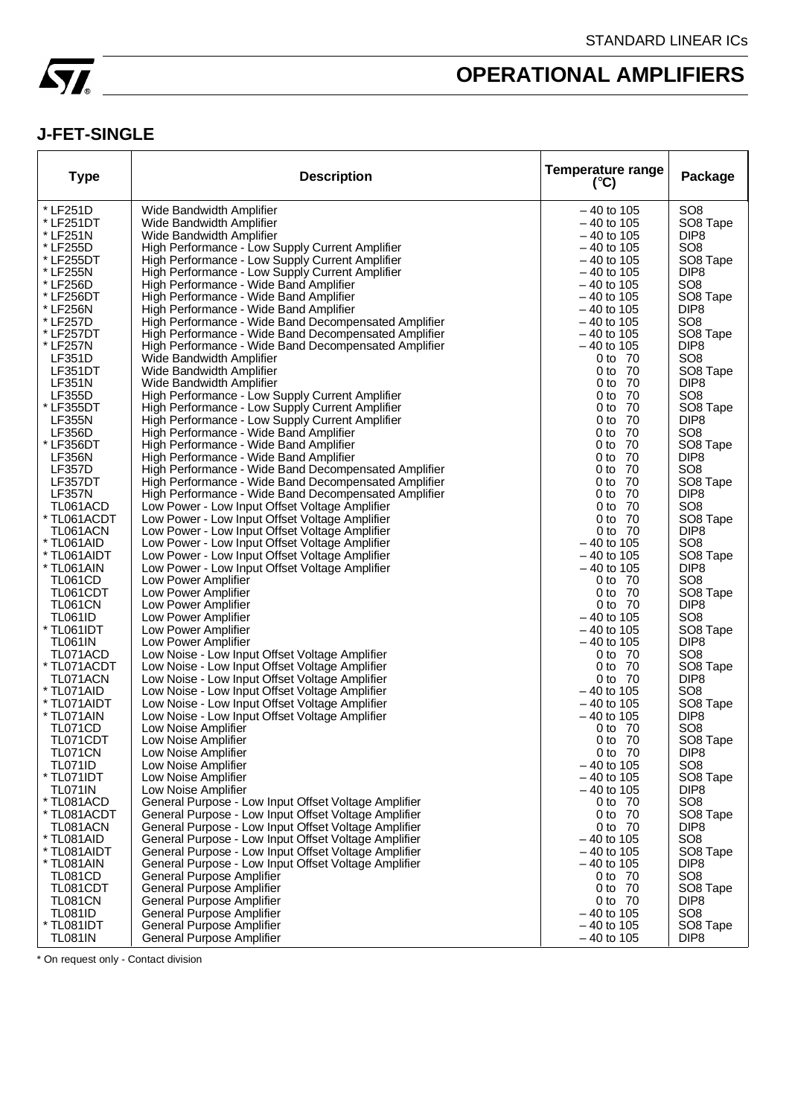

### **J-FET-SINGLE**

| * LF251D<br>SO <sub>8</sub><br>Wide Bandwidth Amplifier<br>$-40$ to 105<br>* LF251DT<br>Wide Bandwidth Amplifier<br>$-40$ to 105<br>SO8 Tape<br>* LF251N<br>Wide Bandwidth Amplifier<br>$-40$ to 105<br>DIP <sub>8</sub><br>* LF255D<br>High Performance - Low Supply Current Amplifier<br>SO <sub>8</sub><br>– 40 to 105<br>* LF255DT<br>High Performance - Low Supply Current Amplifier<br>SO8 Tape<br>– 40 to 105<br>* LF255N<br>High Performance - Low Supply Current Amplifier<br>$-40$ to 105<br>DIP <sub>8</sub><br>* LF256D<br>High Performance - Wide Band Amplifier<br>SO <sub>8</sub><br>$-40$ to 105<br>* LF256DT<br>High Performance - Wide Band Amplifier<br>SO8 Tape<br>– 40 to 105<br>DIP <sub>8</sub><br>* LF256N<br>High Performance - Wide Band Amplifier<br>– 40 to 105<br>SO <sub>8</sub><br>High Performance - Wide Band Decompensated Amplifier<br>* LF257D<br>$-40$ to 105<br>* LF257DT<br>High Performance - Wide Band Decompensated Amplifier<br>SO8 Tape<br>– 40 to 105<br>* LF257N<br>High Performance - Wide Band Decompensated Amplifier<br>$-40$ to 105<br>DIP <sub>8</sub><br>SO <sub>8</sub><br>LF351D<br>Wide Bandwidth Amplifier<br>0 to 70<br>LF351DT<br>Wide Bandwidth Amplifier<br>0 to 70<br>SO8 Tape<br><b>LF351N</b><br>Wide Bandwidth Amplifier<br>- 70<br>DIP <sub>8</sub><br>0 to<br><b>LF355D</b><br>High Performance - Low Supply Current Amplifier<br>- 70<br>SO <sub>8</sub><br>0 to<br>* LF355DT<br>High Performance - Low Supply Current Amplifier<br>0 to<br>- 70<br>SO8 Tape<br>High Performance - Low Supply Current Amplifier<br><b>LF355N</b><br>$0$ to<br>- 70<br>DIP <sub>8</sub><br><b>LF356D</b><br>High Performance - Wide Band Amplifier<br>SO <sub>8</sub><br>0 <sub>to</sub><br>-70<br>* LF356DT<br>High Performance - Wide Band Amplifier<br>0 <sub>to</sub><br>70<br>SO8 Tape<br><b>LF356N</b><br>High Performance - Wide Band Amplifier<br>0 to<br>70<br>DIP <sub>8</sub><br><b>LF357D</b><br>High Performance - Wide Band Decompensated Amplifier<br>70<br>SO <sub>8</sub><br>0 to<br>LF357DT<br>High Performance - Wide Band Decompensated Amplifier<br>0 <sub>to</sub><br>70<br>SO <sub>8</sub> Tape<br><b>LF357N</b><br>High Performance - Wide Band Decompensated Amplifier<br>70<br>DIP <sub>8</sub><br>0 to<br>Low Power - Low Input Offset Voltage Amplifier<br>- 70<br>SO <sub>8</sub><br>TL061ACD<br>0 to<br>* TL061ACDT<br>Low Power - Low Input Offset Voltage Amplifier<br>0 to 70<br>SO <sub>8</sub> Tape<br>TL061ACN<br>Low Power - Low Input Offset Voltage Amplifier<br>0 to 70<br>DIP <sub>8</sub><br>* TL061AID<br>Low Power - Low Input Offset Voltage Amplifier<br>$-40$ to 105<br>SO <sub>8</sub><br>* TL061AIDT<br>Low Power - Low Input Offset Voltage Amplifier<br>$-40$ to 105<br>SO8 Tape<br>* TL061AIN<br>Low Power - Low Input Offset Voltage Amplifier<br>$-40$ to 105<br>DIP <sub>8</sub><br><b>TL061CD</b><br>Low Power Amplifier<br>SO <sub>8</sub><br>0 to 70<br>TL061CDT<br>Low Power Amplifier<br>0 to 70<br>SO <sub>8</sub> Tape<br><b>TL061CN</b><br>Low Power Amplifier<br>0 to 70<br>DIP <sub>8</sub><br>SO <sub>8</sub><br><b>TL061ID</b><br>Low Power Amplifier<br>$-40$ to 105<br>* TL061IDT<br>Low Power Amplifier<br>SO8 Tape<br>– 40 to 105<br>DIP <sub>8</sub><br>TL061IN<br>Low Power Amplifier<br>– 40 to 105<br>TL071ACD<br>Low Noise - Low Input Offset Voltage Amplifier<br>SO <sub>8</sub><br>0 to 70<br>Low Noise - Low Input Offset Voltage Amplifier<br>* TL071ACDT<br>0 to 70<br>SO8 Tape<br>Low Noise - Low Input Offset Voltage Amplifier<br>DIP <sub>8</sub><br>TL071ACN<br>0 to 70<br>Low Noise - Low Input Offset Voltage Amplifier<br>SO <sub>8</sub><br>* TL071AID<br>$-40$ to 105<br>Low Noise - Low Input Offset Voltage Amplifier<br>* TL071AIDT<br>$-40$ to 105<br>SO8 Tape<br>Low Noise - Low Input Offset Voltage Amplifier<br>* TL071AIN<br>$-40$ to 105<br>DIP <sub>8</sub><br>SO <sub>8</sub><br>TL071CD<br>Low Noise Amplifier<br>0 to 70<br>0 to 70<br>SO8 Tape<br>TL071CDT<br>Low Noise Amplifier<br>TL071CN<br>Low Noise Amplifier<br>0 to 70<br>DIP <sub>8</sub><br><b>TL071ID</b><br>Low Noise Amplifier<br>$-40$ to 105<br>SO <sub>8</sub><br>* TL071IDT<br>Low Noise Amplifier<br>$-40$ to 105<br>SO8 Tape<br><b>TL071IN</b><br>Low Noise Amplifier<br>$-40$ to 105<br>DIP <sub>8</sub><br>* TL081ACD<br>SO <sub>8</sub><br>General Purpose - Low Input Offset Voltage Amplifier<br>0 to 70<br>* TL081ACDT<br>General Purpose - Low Input Offset Voltage Amplifier<br>0 to 70<br>SO8 Tape<br>General Purpose - Low Input Offset Voltage Amplifier<br>TL081ACN<br>0 to 70<br>DIP <sub>8</sub><br>SO <sub>8</sub><br>* TL081AID<br>General Purpose - Low Input Offset Voltage Amplifier<br>$-40$ to 105<br>* TL081AIDT<br>General Purpose - Low Input Offset Voltage Amplifier<br>$-40$ to 105<br>SO8 Tape<br>* TL081AIN<br>General Purpose - Low Input Offset Voltage Amplifier<br>DIP <sub>8</sub><br>$-40$ to 105<br><b>TL081CD</b><br>General Purpose Amplifier<br>SO <sub>8</sub><br>0 to 70<br>SO <sub>8</sub> Tape<br>TL081CDT<br>General Purpose Amplifier<br>0 to 70<br><b>TL081CN</b><br><b>General Purpose Amplifier</b><br>DIP <sub>8</sub><br>0 to 70<br><b>TL081ID</b><br>General Purpose Amplifier<br>$-40$ to 105<br>SO <sub>8</sub><br>* TL081IDT<br>General Purpose Amplifier<br>$-40$ to 105<br>SO8 Tape<br><b>TL081IN</b><br>General Purpose Amplifier<br>$-40$ to 105<br>DIP <sub>8</sub> | <b>Type</b> | <b>Description</b> | <b>Temperature range</b><br>$(^{\circ}C)$ | Package |
|-----------------------------------------------------------------------------------------------------------------------------------------------------------------------------------------------------------------------------------------------------------------------------------------------------------------------------------------------------------------------------------------------------------------------------------------------------------------------------------------------------------------------------------------------------------------------------------------------------------------------------------------------------------------------------------------------------------------------------------------------------------------------------------------------------------------------------------------------------------------------------------------------------------------------------------------------------------------------------------------------------------------------------------------------------------------------------------------------------------------------------------------------------------------------------------------------------------------------------------------------------------------------------------------------------------------------------------------------------------------------------------------------------------------------------------------------------------------------------------------------------------------------------------------------------------------------------------------------------------------------------------------------------------------------------------------------------------------------------------------------------------------------------------------------------------------------------------------------------------------------------------------------------------------------------------------------------------------------------------------------------------------------------------------------------------------------------------------------------------------------------------------------------------------------------------------------------------------------------------------------------------------------------------------------------------------------------------------------------------------------------------------------------------------------------------------------------------------------------------------------------------------------------------------------------------------------------------------------------------------------------------------------------------------------------------------------------------------------------------------------------------------------------------------------------------------------------------------------------------------------------------------------------------------------------------------------------------------------------------------------------------------------------------------------------------------------------------------------------------------------------------------------------------------------------------------------------------------------------------------------------------------------------------------------------------------------------------------------------------------------------------------------------------------------------------------------------------------------------------------------------------------------------------------------------------------------------------------------------------------------------------------------------------------------------------------------------------------------------------------------------------------------------------------------------------------------------------------------------------------------------------------------------------------------------------------------------------------------------------------------------------------------------------------------------------------------------------------------------------------------------------------------------------------------------------------------------------------------------------------------------------------------------------------------------------------------------------------------------------------------------------------------------------------------------------------------------------------------------------------------------------------------------------------------------------------------------------------------------------------------------------------------------------------------------------------------------------------------------------------------------------------------------------------------------------------------------------------------------------------------------------------------------------------------------------------------------------------------------------------------------------------------------------------------------------------------------------------------------------------------------------------------------------------------------------------------------------------------------------------------------------------------------------------------------------------------------------------------------------------------------------------------------------------------------------------------------------------|-------------|--------------------|-------------------------------------------|---------|
|                                                                                                                                                                                                                                                                                                                                                                                                                                                                                                                                                                                                                                                                                                                                                                                                                                                                                                                                                                                                                                                                                                                                                                                                                                                                                                                                                                                                                                                                                                                                                                                                                                                                                                                                                                                                                                                                                                                                                                                                                                                                                                                                                                                                                                                                                                                                                                                                                                                                                                                                                                                                                                                                                                                                                                                                                                                                                                                                                                                                                                                                                                                                                                                                                                                                                                                                                                                                                                                                                                                                                                                                                                                                                                                                                                                                                                                                                                                                                                                                                                                                                                                                                                                                                                                                                                                                                                                                                                                                                                                                                                                                                                                                                                                                                                                                                                                                                                                                                                                                                                                                                                                                                                                                                                                                                                                                                                                                                                                                 |             |                    |                                           |         |
|                                                                                                                                                                                                                                                                                                                                                                                                                                                                                                                                                                                                                                                                                                                                                                                                                                                                                                                                                                                                                                                                                                                                                                                                                                                                                                                                                                                                                                                                                                                                                                                                                                                                                                                                                                                                                                                                                                                                                                                                                                                                                                                                                                                                                                                                                                                                                                                                                                                                                                                                                                                                                                                                                                                                                                                                                                                                                                                                                                                                                                                                                                                                                                                                                                                                                                                                                                                                                                                                                                                                                                                                                                                                                                                                                                                                                                                                                                                                                                                                                                                                                                                                                                                                                                                                                                                                                                                                                                                                                                                                                                                                                                                                                                                                                                                                                                                                                                                                                                                                                                                                                                                                                                                                                                                                                                                                                                                                                                                                 |             |                    |                                           |         |
|                                                                                                                                                                                                                                                                                                                                                                                                                                                                                                                                                                                                                                                                                                                                                                                                                                                                                                                                                                                                                                                                                                                                                                                                                                                                                                                                                                                                                                                                                                                                                                                                                                                                                                                                                                                                                                                                                                                                                                                                                                                                                                                                                                                                                                                                                                                                                                                                                                                                                                                                                                                                                                                                                                                                                                                                                                                                                                                                                                                                                                                                                                                                                                                                                                                                                                                                                                                                                                                                                                                                                                                                                                                                                                                                                                                                                                                                                                                                                                                                                                                                                                                                                                                                                                                                                                                                                                                                                                                                                                                                                                                                                                                                                                                                                                                                                                                                                                                                                                                                                                                                                                                                                                                                                                                                                                                                                                                                                                                                 |             |                    |                                           |         |
|                                                                                                                                                                                                                                                                                                                                                                                                                                                                                                                                                                                                                                                                                                                                                                                                                                                                                                                                                                                                                                                                                                                                                                                                                                                                                                                                                                                                                                                                                                                                                                                                                                                                                                                                                                                                                                                                                                                                                                                                                                                                                                                                                                                                                                                                                                                                                                                                                                                                                                                                                                                                                                                                                                                                                                                                                                                                                                                                                                                                                                                                                                                                                                                                                                                                                                                                                                                                                                                                                                                                                                                                                                                                                                                                                                                                                                                                                                                                                                                                                                                                                                                                                                                                                                                                                                                                                                                                                                                                                                                                                                                                                                                                                                                                                                                                                                                                                                                                                                                                                                                                                                                                                                                                                                                                                                                                                                                                                                                                 |             |                    |                                           |         |
|                                                                                                                                                                                                                                                                                                                                                                                                                                                                                                                                                                                                                                                                                                                                                                                                                                                                                                                                                                                                                                                                                                                                                                                                                                                                                                                                                                                                                                                                                                                                                                                                                                                                                                                                                                                                                                                                                                                                                                                                                                                                                                                                                                                                                                                                                                                                                                                                                                                                                                                                                                                                                                                                                                                                                                                                                                                                                                                                                                                                                                                                                                                                                                                                                                                                                                                                                                                                                                                                                                                                                                                                                                                                                                                                                                                                                                                                                                                                                                                                                                                                                                                                                                                                                                                                                                                                                                                                                                                                                                                                                                                                                                                                                                                                                                                                                                                                                                                                                                                                                                                                                                                                                                                                                                                                                                                                                                                                                                                                 |             |                    |                                           |         |
|                                                                                                                                                                                                                                                                                                                                                                                                                                                                                                                                                                                                                                                                                                                                                                                                                                                                                                                                                                                                                                                                                                                                                                                                                                                                                                                                                                                                                                                                                                                                                                                                                                                                                                                                                                                                                                                                                                                                                                                                                                                                                                                                                                                                                                                                                                                                                                                                                                                                                                                                                                                                                                                                                                                                                                                                                                                                                                                                                                                                                                                                                                                                                                                                                                                                                                                                                                                                                                                                                                                                                                                                                                                                                                                                                                                                                                                                                                                                                                                                                                                                                                                                                                                                                                                                                                                                                                                                                                                                                                                                                                                                                                                                                                                                                                                                                                                                                                                                                                                                                                                                                                                                                                                                                                                                                                                                                                                                                                                                 |             |                    |                                           |         |
|                                                                                                                                                                                                                                                                                                                                                                                                                                                                                                                                                                                                                                                                                                                                                                                                                                                                                                                                                                                                                                                                                                                                                                                                                                                                                                                                                                                                                                                                                                                                                                                                                                                                                                                                                                                                                                                                                                                                                                                                                                                                                                                                                                                                                                                                                                                                                                                                                                                                                                                                                                                                                                                                                                                                                                                                                                                                                                                                                                                                                                                                                                                                                                                                                                                                                                                                                                                                                                                                                                                                                                                                                                                                                                                                                                                                                                                                                                                                                                                                                                                                                                                                                                                                                                                                                                                                                                                                                                                                                                                                                                                                                                                                                                                                                                                                                                                                                                                                                                                                                                                                                                                                                                                                                                                                                                                                                                                                                                                                 |             |                    |                                           |         |
|                                                                                                                                                                                                                                                                                                                                                                                                                                                                                                                                                                                                                                                                                                                                                                                                                                                                                                                                                                                                                                                                                                                                                                                                                                                                                                                                                                                                                                                                                                                                                                                                                                                                                                                                                                                                                                                                                                                                                                                                                                                                                                                                                                                                                                                                                                                                                                                                                                                                                                                                                                                                                                                                                                                                                                                                                                                                                                                                                                                                                                                                                                                                                                                                                                                                                                                                                                                                                                                                                                                                                                                                                                                                                                                                                                                                                                                                                                                                                                                                                                                                                                                                                                                                                                                                                                                                                                                                                                                                                                                                                                                                                                                                                                                                                                                                                                                                                                                                                                                                                                                                                                                                                                                                                                                                                                                                                                                                                                                                 |             |                    |                                           |         |
|                                                                                                                                                                                                                                                                                                                                                                                                                                                                                                                                                                                                                                                                                                                                                                                                                                                                                                                                                                                                                                                                                                                                                                                                                                                                                                                                                                                                                                                                                                                                                                                                                                                                                                                                                                                                                                                                                                                                                                                                                                                                                                                                                                                                                                                                                                                                                                                                                                                                                                                                                                                                                                                                                                                                                                                                                                                                                                                                                                                                                                                                                                                                                                                                                                                                                                                                                                                                                                                                                                                                                                                                                                                                                                                                                                                                                                                                                                                                                                                                                                                                                                                                                                                                                                                                                                                                                                                                                                                                                                                                                                                                                                                                                                                                                                                                                                                                                                                                                                                                                                                                                                                                                                                                                                                                                                                                                                                                                                                                 |             |                    |                                           |         |
|                                                                                                                                                                                                                                                                                                                                                                                                                                                                                                                                                                                                                                                                                                                                                                                                                                                                                                                                                                                                                                                                                                                                                                                                                                                                                                                                                                                                                                                                                                                                                                                                                                                                                                                                                                                                                                                                                                                                                                                                                                                                                                                                                                                                                                                                                                                                                                                                                                                                                                                                                                                                                                                                                                                                                                                                                                                                                                                                                                                                                                                                                                                                                                                                                                                                                                                                                                                                                                                                                                                                                                                                                                                                                                                                                                                                                                                                                                                                                                                                                                                                                                                                                                                                                                                                                                                                                                                                                                                                                                                                                                                                                                                                                                                                                                                                                                                                                                                                                                                                                                                                                                                                                                                                                                                                                                                                                                                                                                                                 |             |                    |                                           |         |
|                                                                                                                                                                                                                                                                                                                                                                                                                                                                                                                                                                                                                                                                                                                                                                                                                                                                                                                                                                                                                                                                                                                                                                                                                                                                                                                                                                                                                                                                                                                                                                                                                                                                                                                                                                                                                                                                                                                                                                                                                                                                                                                                                                                                                                                                                                                                                                                                                                                                                                                                                                                                                                                                                                                                                                                                                                                                                                                                                                                                                                                                                                                                                                                                                                                                                                                                                                                                                                                                                                                                                                                                                                                                                                                                                                                                                                                                                                                                                                                                                                                                                                                                                                                                                                                                                                                                                                                                                                                                                                                                                                                                                                                                                                                                                                                                                                                                                                                                                                                                                                                                                                                                                                                                                                                                                                                                                                                                                                                                 |             |                    |                                           |         |
|                                                                                                                                                                                                                                                                                                                                                                                                                                                                                                                                                                                                                                                                                                                                                                                                                                                                                                                                                                                                                                                                                                                                                                                                                                                                                                                                                                                                                                                                                                                                                                                                                                                                                                                                                                                                                                                                                                                                                                                                                                                                                                                                                                                                                                                                                                                                                                                                                                                                                                                                                                                                                                                                                                                                                                                                                                                                                                                                                                                                                                                                                                                                                                                                                                                                                                                                                                                                                                                                                                                                                                                                                                                                                                                                                                                                                                                                                                                                                                                                                                                                                                                                                                                                                                                                                                                                                                                                                                                                                                                                                                                                                                                                                                                                                                                                                                                                                                                                                                                                                                                                                                                                                                                                                                                                                                                                                                                                                                                                 |             |                    |                                           |         |
|                                                                                                                                                                                                                                                                                                                                                                                                                                                                                                                                                                                                                                                                                                                                                                                                                                                                                                                                                                                                                                                                                                                                                                                                                                                                                                                                                                                                                                                                                                                                                                                                                                                                                                                                                                                                                                                                                                                                                                                                                                                                                                                                                                                                                                                                                                                                                                                                                                                                                                                                                                                                                                                                                                                                                                                                                                                                                                                                                                                                                                                                                                                                                                                                                                                                                                                                                                                                                                                                                                                                                                                                                                                                                                                                                                                                                                                                                                                                                                                                                                                                                                                                                                                                                                                                                                                                                                                                                                                                                                                                                                                                                                                                                                                                                                                                                                                                                                                                                                                                                                                                                                                                                                                                                                                                                                                                                                                                                                                                 |             |                    |                                           |         |
|                                                                                                                                                                                                                                                                                                                                                                                                                                                                                                                                                                                                                                                                                                                                                                                                                                                                                                                                                                                                                                                                                                                                                                                                                                                                                                                                                                                                                                                                                                                                                                                                                                                                                                                                                                                                                                                                                                                                                                                                                                                                                                                                                                                                                                                                                                                                                                                                                                                                                                                                                                                                                                                                                                                                                                                                                                                                                                                                                                                                                                                                                                                                                                                                                                                                                                                                                                                                                                                                                                                                                                                                                                                                                                                                                                                                                                                                                                                                                                                                                                                                                                                                                                                                                                                                                                                                                                                                                                                                                                                                                                                                                                                                                                                                                                                                                                                                                                                                                                                                                                                                                                                                                                                                                                                                                                                                                                                                                                                                 |             |                    |                                           |         |
|                                                                                                                                                                                                                                                                                                                                                                                                                                                                                                                                                                                                                                                                                                                                                                                                                                                                                                                                                                                                                                                                                                                                                                                                                                                                                                                                                                                                                                                                                                                                                                                                                                                                                                                                                                                                                                                                                                                                                                                                                                                                                                                                                                                                                                                                                                                                                                                                                                                                                                                                                                                                                                                                                                                                                                                                                                                                                                                                                                                                                                                                                                                                                                                                                                                                                                                                                                                                                                                                                                                                                                                                                                                                                                                                                                                                                                                                                                                                                                                                                                                                                                                                                                                                                                                                                                                                                                                                                                                                                                                                                                                                                                                                                                                                                                                                                                                                                                                                                                                                                                                                                                                                                                                                                                                                                                                                                                                                                                                                 |             |                    |                                           |         |
|                                                                                                                                                                                                                                                                                                                                                                                                                                                                                                                                                                                                                                                                                                                                                                                                                                                                                                                                                                                                                                                                                                                                                                                                                                                                                                                                                                                                                                                                                                                                                                                                                                                                                                                                                                                                                                                                                                                                                                                                                                                                                                                                                                                                                                                                                                                                                                                                                                                                                                                                                                                                                                                                                                                                                                                                                                                                                                                                                                                                                                                                                                                                                                                                                                                                                                                                                                                                                                                                                                                                                                                                                                                                                                                                                                                                                                                                                                                                                                                                                                                                                                                                                                                                                                                                                                                                                                                                                                                                                                                                                                                                                                                                                                                                                                                                                                                                                                                                                                                                                                                                                                                                                                                                                                                                                                                                                                                                                                                                 |             |                    |                                           |         |
|                                                                                                                                                                                                                                                                                                                                                                                                                                                                                                                                                                                                                                                                                                                                                                                                                                                                                                                                                                                                                                                                                                                                                                                                                                                                                                                                                                                                                                                                                                                                                                                                                                                                                                                                                                                                                                                                                                                                                                                                                                                                                                                                                                                                                                                                                                                                                                                                                                                                                                                                                                                                                                                                                                                                                                                                                                                                                                                                                                                                                                                                                                                                                                                                                                                                                                                                                                                                                                                                                                                                                                                                                                                                                                                                                                                                                                                                                                                                                                                                                                                                                                                                                                                                                                                                                                                                                                                                                                                                                                                                                                                                                                                                                                                                                                                                                                                                                                                                                                                                                                                                                                                                                                                                                                                                                                                                                                                                                                                                 |             |                    |                                           |         |
|                                                                                                                                                                                                                                                                                                                                                                                                                                                                                                                                                                                                                                                                                                                                                                                                                                                                                                                                                                                                                                                                                                                                                                                                                                                                                                                                                                                                                                                                                                                                                                                                                                                                                                                                                                                                                                                                                                                                                                                                                                                                                                                                                                                                                                                                                                                                                                                                                                                                                                                                                                                                                                                                                                                                                                                                                                                                                                                                                                                                                                                                                                                                                                                                                                                                                                                                                                                                                                                                                                                                                                                                                                                                                                                                                                                                                                                                                                                                                                                                                                                                                                                                                                                                                                                                                                                                                                                                                                                                                                                                                                                                                                                                                                                                                                                                                                                                                                                                                                                                                                                                                                                                                                                                                                                                                                                                                                                                                                                                 |             |                    |                                           |         |
|                                                                                                                                                                                                                                                                                                                                                                                                                                                                                                                                                                                                                                                                                                                                                                                                                                                                                                                                                                                                                                                                                                                                                                                                                                                                                                                                                                                                                                                                                                                                                                                                                                                                                                                                                                                                                                                                                                                                                                                                                                                                                                                                                                                                                                                                                                                                                                                                                                                                                                                                                                                                                                                                                                                                                                                                                                                                                                                                                                                                                                                                                                                                                                                                                                                                                                                                                                                                                                                                                                                                                                                                                                                                                                                                                                                                                                                                                                                                                                                                                                                                                                                                                                                                                                                                                                                                                                                                                                                                                                                                                                                                                                                                                                                                                                                                                                                                                                                                                                                                                                                                                                                                                                                                                                                                                                                                                                                                                                                                 |             |                    |                                           |         |
|                                                                                                                                                                                                                                                                                                                                                                                                                                                                                                                                                                                                                                                                                                                                                                                                                                                                                                                                                                                                                                                                                                                                                                                                                                                                                                                                                                                                                                                                                                                                                                                                                                                                                                                                                                                                                                                                                                                                                                                                                                                                                                                                                                                                                                                                                                                                                                                                                                                                                                                                                                                                                                                                                                                                                                                                                                                                                                                                                                                                                                                                                                                                                                                                                                                                                                                                                                                                                                                                                                                                                                                                                                                                                                                                                                                                                                                                                                                                                                                                                                                                                                                                                                                                                                                                                                                                                                                                                                                                                                                                                                                                                                                                                                                                                                                                                                                                                                                                                                                                                                                                                                                                                                                                                                                                                                                                                                                                                                                                 |             |                    |                                           |         |
|                                                                                                                                                                                                                                                                                                                                                                                                                                                                                                                                                                                                                                                                                                                                                                                                                                                                                                                                                                                                                                                                                                                                                                                                                                                                                                                                                                                                                                                                                                                                                                                                                                                                                                                                                                                                                                                                                                                                                                                                                                                                                                                                                                                                                                                                                                                                                                                                                                                                                                                                                                                                                                                                                                                                                                                                                                                                                                                                                                                                                                                                                                                                                                                                                                                                                                                                                                                                                                                                                                                                                                                                                                                                                                                                                                                                                                                                                                                                                                                                                                                                                                                                                                                                                                                                                                                                                                                                                                                                                                                                                                                                                                                                                                                                                                                                                                                                                                                                                                                                                                                                                                                                                                                                                                                                                                                                                                                                                                                                 |             |                    |                                           |         |
|                                                                                                                                                                                                                                                                                                                                                                                                                                                                                                                                                                                                                                                                                                                                                                                                                                                                                                                                                                                                                                                                                                                                                                                                                                                                                                                                                                                                                                                                                                                                                                                                                                                                                                                                                                                                                                                                                                                                                                                                                                                                                                                                                                                                                                                                                                                                                                                                                                                                                                                                                                                                                                                                                                                                                                                                                                                                                                                                                                                                                                                                                                                                                                                                                                                                                                                                                                                                                                                                                                                                                                                                                                                                                                                                                                                                                                                                                                                                                                                                                                                                                                                                                                                                                                                                                                                                                                                                                                                                                                                                                                                                                                                                                                                                                                                                                                                                                                                                                                                                                                                                                                                                                                                                                                                                                                                                                                                                                                                                 |             |                    |                                           |         |
|                                                                                                                                                                                                                                                                                                                                                                                                                                                                                                                                                                                                                                                                                                                                                                                                                                                                                                                                                                                                                                                                                                                                                                                                                                                                                                                                                                                                                                                                                                                                                                                                                                                                                                                                                                                                                                                                                                                                                                                                                                                                                                                                                                                                                                                                                                                                                                                                                                                                                                                                                                                                                                                                                                                                                                                                                                                                                                                                                                                                                                                                                                                                                                                                                                                                                                                                                                                                                                                                                                                                                                                                                                                                                                                                                                                                                                                                                                                                                                                                                                                                                                                                                                                                                                                                                                                                                                                                                                                                                                                                                                                                                                                                                                                                                                                                                                                                                                                                                                                                                                                                                                                                                                                                                                                                                                                                                                                                                                                                 |             |                    |                                           |         |
|                                                                                                                                                                                                                                                                                                                                                                                                                                                                                                                                                                                                                                                                                                                                                                                                                                                                                                                                                                                                                                                                                                                                                                                                                                                                                                                                                                                                                                                                                                                                                                                                                                                                                                                                                                                                                                                                                                                                                                                                                                                                                                                                                                                                                                                                                                                                                                                                                                                                                                                                                                                                                                                                                                                                                                                                                                                                                                                                                                                                                                                                                                                                                                                                                                                                                                                                                                                                                                                                                                                                                                                                                                                                                                                                                                                                                                                                                                                                                                                                                                                                                                                                                                                                                                                                                                                                                                                                                                                                                                                                                                                                                                                                                                                                                                                                                                                                                                                                                                                                                                                                                                                                                                                                                                                                                                                                                                                                                                                                 |             |                    |                                           |         |
|                                                                                                                                                                                                                                                                                                                                                                                                                                                                                                                                                                                                                                                                                                                                                                                                                                                                                                                                                                                                                                                                                                                                                                                                                                                                                                                                                                                                                                                                                                                                                                                                                                                                                                                                                                                                                                                                                                                                                                                                                                                                                                                                                                                                                                                                                                                                                                                                                                                                                                                                                                                                                                                                                                                                                                                                                                                                                                                                                                                                                                                                                                                                                                                                                                                                                                                                                                                                                                                                                                                                                                                                                                                                                                                                                                                                                                                                                                                                                                                                                                                                                                                                                                                                                                                                                                                                                                                                                                                                                                                                                                                                                                                                                                                                                                                                                                                                                                                                                                                                                                                                                                                                                                                                                                                                                                                                                                                                                                                                 |             |                    |                                           |         |
|                                                                                                                                                                                                                                                                                                                                                                                                                                                                                                                                                                                                                                                                                                                                                                                                                                                                                                                                                                                                                                                                                                                                                                                                                                                                                                                                                                                                                                                                                                                                                                                                                                                                                                                                                                                                                                                                                                                                                                                                                                                                                                                                                                                                                                                                                                                                                                                                                                                                                                                                                                                                                                                                                                                                                                                                                                                                                                                                                                                                                                                                                                                                                                                                                                                                                                                                                                                                                                                                                                                                                                                                                                                                                                                                                                                                                                                                                                                                                                                                                                                                                                                                                                                                                                                                                                                                                                                                                                                                                                                                                                                                                                                                                                                                                                                                                                                                                                                                                                                                                                                                                                                                                                                                                                                                                                                                                                                                                                                                 |             |                    |                                           |         |
|                                                                                                                                                                                                                                                                                                                                                                                                                                                                                                                                                                                                                                                                                                                                                                                                                                                                                                                                                                                                                                                                                                                                                                                                                                                                                                                                                                                                                                                                                                                                                                                                                                                                                                                                                                                                                                                                                                                                                                                                                                                                                                                                                                                                                                                                                                                                                                                                                                                                                                                                                                                                                                                                                                                                                                                                                                                                                                                                                                                                                                                                                                                                                                                                                                                                                                                                                                                                                                                                                                                                                                                                                                                                                                                                                                                                                                                                                                                                                                                                                                                                                                                                                                                                                                                                                                                                                                                                                                                                                                                                                                                                                                                                                                                                                                                                                                                                                                                                                                                                                                                                                                                                                                                                                                                                                                                                                                                                                                                                 |             |                    |                                           |         |
|                                                                                                                                                                                                                                                                                                                                                                                                                                                                                                                                                                                                                                                                                                                                                                                                                                                                                                                                                                                                                                                                                                                                                                                                                                                                                                                                                                                                                                                                                                                                                                                                                                                                                                                                                                                                                                                                                                                                                                                                                                                                                                                                                                                                                                                                                                                                                                                                                                                                                                                                                                                                                                                                                                                                                                                                                                                                                                                                                                                                                                                                                                                                                                                                                                                                                                                                                                                                                                                                                                                                                                                                                                                                                                                                                                                                                                                                                                                                                                                                                                                                                                                                                                                                                                                                                                                                                                                                                                                                                                                                                                                                                                                                                                                                                                                                                                                                                                                                                                                                                                                                                                                                                                                                                                                                                                                                                                                                                                                                 |             |                    |                                           |         |
|                                                                                                                                                                                                                                                                                                                                                                                                                                                                                                                                                                                                                                                                                                                                                                                                                                                                                                                                                                                                                                                                                                                                                                                                                                                                                                                                                                                                                                                                                                                                                                                                                                                                                                                                                                                                                                                                                                                                                                                                                                                                                                                                                                                                                                                                                                                                                                                                                                                                                                                                                                                                                                                                                                                                                                                                                                                                                                                                                                                                                                                                                                                                                                                                                                                                                                                                                                                                                                                                                                                                                                                                                                                                                                                                                                                                                                                                                                                                                                                                                                                                                                                                                                                                                                                                                                                                                                                                                                                                                                                                                                                                                                                                                                                                                                                                                                                                                                                                                                                                                                                                                                                                                                                                                                                                                                                                                                                                                                                                 |             |                    |                                           |         |
|                                                                                                                                                                                                                                                                                                                                                                                                                                                                                                                                                                                                                                                                                                                                                                                                                                                                                                                                                                                                                                                                                                                                                                                                                                                                                                                                                                                                                                                                                                                                                                                                                                                                                                                                                                                                                                                                                                                                                                                                                                                                                                                                                                                                                                                                                                                                                                                                                                                                                                                                                                                                                                                                                                                                                                                                                                                                                                                                                                                                                                                                                                                                                                                                                                                                                                                                                                                                                                                                                                                                                                                                                                                                                                                                                                                                                                                                                                                                                                                                                                                                                                                                                                                                                                                                                                                                                                                                                                                                                                                                                                                                                                                                                                                                                                                                                                                                                                                                                                                                                                                                                                                                                                                                                                                                                                                                                                                                                                                                 |             |                    |                                           |         |
|                                                                                                                                                                                                                                                                                                                                                                                                                                                                                                                                                                                                                                                                                                                                                                                                                                                                                                                                                                                                                                                                                                                                                                                                                                                                                                                                                                                                                                                                                                                                                                                                                                                                                                                                                                                                                                                                                                                                                                                                                                                                                                                                                                                                                                                                                                                                                                                                                                                                                                                                                                                                                                                                                                                                                                                                                                                                                                                                                                                                                                                                                                                                                                                                                                                                                                                                                                                                                                                                                                                                                                                                                                                                                                                                                                                                                                                                                                                                                                                                                                                                                                                                                                                                                                                                                                                                                                                                                                                                                                                                                                                                                                                                                                                                                                                                                                                                                                                                                                                                                                                                                                                                                                                                                                                                                                                                                                                                                                                                 |             |                    |                                           |         |
|                                                                                                                                                                                                                                                                                                                                                                                                                                                                                                                                                                                                                                                                                                                                                                                                                                                                                                                                                                                                                                                                                                                                                                                                                                                                                                                                                                                                                                                                                                                                                                                                                                                                                                                                                                                                                                                                                                                                                                                                                                                                                                                                                                                                                                                                                                                                                                                                                                                                                                                                                                                                                                                                                                                                                                                                                                                                                                                                                                                                                                                                                                                                                                                                                                                                                                                                                                                                                                                                                                                                                                                                                                                                                                                                                                                                                                                                                                                                                                                                                                                                                                                                                                                                                                                                                                                                                                                                                                                                                                                                                                                                                                                                                                                                                                                                                                                                                                                                                                                                                                                                                                                                                                                                                                                                                                                                                                                                                                                                 |             |                    |                                           |         |
|                                                                                                                                                                                                                                                                                                                                                                                                                                                                                                                                                                                                                                                                                                                                                                                                                                                                                                                                                                                                                                                                                                                                                                                                                                                                                                                                                                                                                                                                                                                                                                                                                                                                                                                                                                                                                                                                                                                                                                                                                                                                                                                                                                                                                                                                                                                                                                                                                                                                                                                                                                                                                                                                                                                                                                                                                                                                                                                                                                                                                                                                                                                                                                                                                                                                                                                                                                                                                                                                                                                                                                                                                                                                                                                                                                                                                                                                                                                                                                                                                                                                                                                                                                                                                                                                                                                                                                                                                                                                                                                                                                                                                                                                                                                                                                                                                                                                                                                                                                                                                                                                                                                                                                                                                                                                                                                                                                                                                                                                 |             |                    |                                           |         |
|                                                                                                                                                                                                                                                                                                                                                                                                                                                                                                                                                                                                                                                                                                                                                                                                                                                                                                                                                                                                                                                                                                                                                                                                                                                                                                                                                                                                                                                                                                                                                                                                                                                                                                                                                                                                                                                                                                                                                                                                                                                                                                                                                                                                                                                                                                                                                                                                                                                                                                                                                                                                                                                                                                                                                                                                                                                                                                                                                                                                                                                                                                                                                                                                                                                                                                                                                                                                                                                                                                                                                                                                                                                                                                                                                                                                                                                                                                                                                                                                                                                                                                                                                                                                                                                                                                                                                                                                                                                                                                                                                                                                                                                                                                                                                                                                                                                                                                                                                                                                                                                                                                                                                                                                                                                                                                                                                                                                                                                                 |             |                    |                                           |         |
|                                                                                                                                                                                                                                                                                                                                                                                                                                                                                                                                                                                                                                                                                                                                                                                                                                                                                                                                                                                                                                                                                                                                                                                                                                                                                                                                                                                                                                                                                                                                                                                                                                                                                                                                                                                                                                                                                                                                                                                                                                                                                                                                                                                                                                                                                                                                                                                                                                                                                                                                                                                                                                                                                                                                                                                                                                                                                                                                                                                                                                                                                                                                                                                                                                                                                                                                                                                                                                                                                                                                                                                                                                                                                                                                                                                                                                                                                                                                                                                                                                                                                                                                                                                                                                                                                                                                                                                                                                                                                                                                                                                                                                                                                                                                                                                                                                                                                                                                                                                                                                                                                                                                                                                                                                                                                                                                                                                                                                                                 |             |                    |                                           |         |
|                                                                                                                                                                                                                                                                                                                                                                                                                                                                                                                                                                                                                                                                                                                                                                                                                                                                                                                                                                                                                                                                                                                                                                                                                                                                                                                                                                                                                                                                                                                                                                                                                                                                                                                                                                                                                                                                                                                                                                                                                                                                                                                                                                                                                                                                                                                                                                                                                                                                                                                                                                                                                                                                                                                                                                                                                                                                                                                                                                                                                                                                                                                                                                                                                                                                                                                                                                                                                                                                                                                                                                                                                                                                                                                                                                                                                                                                                                                                                                                                                                                                                                                                                                                                                                                                                                                                                                                                                                                                                                                                                                                                                                                                                                                                                                                                                                                                                                                                                                                                                                                                                                                                                                                                                                                                                                                                                                                                                                                                 |             |                    |                                           |         |
|                                                                                                                                                                                                                                                                                                                                                                                                                                                                                                                                                                                                                                                                                                                                                                                                                                                                                                                                                                                                                                                                                                                                                                                                                                                                                                                                                                                                                                                                                                                                                                                                                                                                                                                                                                                                                                                                                                                                                                                                                                                                                                                                                                                                                                                                                                                                                                                                                                                                                                                                                                                                                                                                                                                                                                                                                                                                                                                                                                                                                                                                                                                                                                                                                                                                                                                                                                                                                                                                                                                                                                                                                                                                                                                                                                                                                                                                                                                                                                                                                                                                                                                                                                                                                                                                                                                                                                                                                                                                                                                                                                                                                                                                                                                                                                                                                                                                                                                                                                                                                                                                                                                                                                                                                                                                                                                                                                                                                                                                 |             |                    |                                           |         |
|                                                                                                                                                                                                                                                                                                                                                                                                                                                                                                                                                                                                                                                                                                                                                                                                                                                                                                                                                                                                                                                                                                                                                                                                                                                                                                                                                                                                                                                                                                                                                                                                                                                                                                                                                                                                                                                                                                                                                                                                                                                                                                                                                                                                                                                                                                                                                                                                                                                                                                                                                                                                                                                                                                                                                                                                                                                                                                                                                                                                                                                                                                                                                                                                                                                                                                                                                                                                                                                                                                                                                                                                                                                                                                                                                                                                                                                                                                                                                                                                                                                                                                                                                                                                                                                                                                                                                                                                                                                                                                                                                                                                                                                                                                                                                                                                                                                                                                                                                                                                                                                                                                                                                                                                                                                                                                                                                                                                                                                                 |             |                    |                                           |         |
|                                                                                                                                                                                                                                                                                                                                                                                                                                                                                                                                                                                                                                                                                                                                                                                                                                                                                                                                                                                                                                                                                                                                                                                                                                                                                                                                                                                                                                                                                                                                                                                                                                                                                                                                                                                                                                                                                                                                                                                                                                                                                                                                                                                                                                                                                                                                                                                                                                                                                                                                                                                                                                                                                                                                                                                                                                                                                                                                                                                                                                                                                                                                                                                                                                                                                                                                                                                                                                                                                                                                                                                                                                                                                                                                                                                                                                                                                                                                                                                                                                                                                                                                                                                                                                                                                                                                                                                                                                                                                                                                                                                                                                                                                                                                                                                                                                                                                                                                                                                                                                                                                                                                                                                                                                                                                                                                                                                                                                                                 |             |                    |                                           |         |
|                                                                                                                                                                                                                                                                                                                                                                                                                                                                                                                                                                                                                                                                                                                                                                                                                                                                                                                                                                                                                                                                                                                                                                                                                                                                                                                                                                                                                                                                                                                                                                                                                                                                                                                                                                                                                                                                                                                                                                                                                                                                                                                                                                                                                                                                                                                                                                                                                                                                                                                                                                                                                                                                                                                                                                                                                                                                                                                                                                                                                                                                                                                                                                                                                                                                                                                                                                                                                                                                                                                                                                                                                                                                                                                                                                                                                                                                                                                                                                                                                                                                                                                                                                                                                                                                                                                                                                                                                                                                                                                                                                                                                                                                                                                                                                                                                                                                                                                                                                                                                                                                                                                                                                                                                                                                                                                                                                                                                                                                 |             |                    |                                           |         |
|                                                                                                                                                                                                                                                                                                                                                                                                                                                                                                                                                                                                                                                                                                                                                                                                                                                                                                                                                                                                                                                                                                                                                                                                                                                                                                                                                                                                                                                                                                                                                                                                                                                                                                                                                                                                                                                                                                                                                                                                                                                                                                                                                                                                                                                                                                                                                                                                                                                                                                                                                                                                                                                                                                                                                                                                                                                                                                                                                                                                                                                                                                                                                                                                                                                                                                                                                                                                                                                                                                                                                                                                                                                                                                                                                                                                                                                                                                                                                                                                                                                                                                                                                                                                                                                                                                                                                                                                                                                                                                                                                                                                                                                                                                                                                                                                                                                                                                                                                                                                                                                                                                                                                                                                                                                                                                                                                                                                                                                                 |             |                    |                                           |         |
|                                                                                                                                                                                                                                                                                                                                                                                                                                                                                                                                                                                                                                                                                                                                                                                                                                                                                                                                                                                                                                                                                                                                                                                                                                                                                                                                                                                                                                                                                                                                                                                                                                                                                                                                                                                                                                                                                                                                                                                                                                                                                                                                                                                                                                                                                                                                                                                                                                                                                                                                                                                                                                                                                                                                                                                                                                                                                                                                                                                                                                                                                                                                                                                                                                                                                                                                                                                                                                                                                                                                                                                                                                                                                                                                                                                                                                                                                                                                                                                                                                                                                                                                                                                                                                                                                                                                                                                                                                                                                                                                                                                                                                                                                                                                                                                                                                                                                                                                                                                                                                                                                                                                                                                                                                                                                                                                                                                                                                                                 |             |                    |                                           |         |
|                                                                                                                                                                                                                                                                                                                                                                                                                                                                                                                                                                                                                                                                                                                                                                                                                                                                                                                                                                                                                                                                                                                                                                                                                                                                                                                                                                                                                                                                                                                                                                                                                                                                                                                                                                                                                                                                                                                                                                                                                                                                                                                                                                                                                                                                                                                                                                                                                                                                                                                                                                                                                                                                                                                                                                                                                                                                                                                                                                                                                                                                                                                                                                                                                                                                                                                                                                                                                                                                                                                                                                                                                                                                                                                                                                                                                                                                                                                                                                                                                                                                                                                                                                                                                                                                                                                                                                                                                                                                                                                                                                                                                                                                                                                                                                                                                                                                                                                                                                                                                                                                                                                                                                                                                                                                                                                                                                                                                                                                 |             |                    |                                           |         |
|                                                                                                                                                                                                                                                                                                                                                                                                                                                                                                                                                                                                                                                                                                                                                                                                                                                                                                                                                                                                                                                                                                                                                                                                                                                                                                                                                                                                                                                                                                                                                                                                                                                                                                                                                                                                                                                                                                                                                                                                                                                                                                                                                                                                                                                                                                                                                                                                                                                                                                                                                                                                                                                                                                                                                                                                                                                                                                                                                                                                                                                                                                                                                                                                                                                                                                                                                                                                                                                                                                                                                                                                                                                                                                                                                                                                                                                                                                                                                                                                                                                                                                                                                                                                                                                                                                                                                                                                                                                                                                                                                                                                                                                                                                                                                                                                                                                                                                                                                                                                                                                                                                                                                                                                                                                                                                                                                                                                                                                                 |             |                    |                                           |         |
|                                                                                                                                                                                                                                                                                                                                                                                                                                                                                                                                                                                                                                                                                                                                                                                                                                                                                                                                                                                                                                                                                                                                                                                                                                                                                                                                                                                                                                                                                                                                                                                                                                                                                                                                                                                                                                                                                                                                                                                                                                                                                                                                                                                                                                                                                                                                                                                                                                                                                                                                                                                                                                                                                                                                                                                                                                                                                                                                                                                                                                                                                                                                                                                                                                                                                                                                                                                                                                                                                                                                                                                                                                                                                                                                                                                                                                                                                                                                                                                                                                                                                                                                                                                                                                                                                                                                                                                                                                                                                                                                                                                                                                                                                                                                                                                                                                                                                                                                                                                                                                                                                                                                                                                                                                                                                                                                                                                                                                                                 |             |                    |                                           |         |
|                                                                                                                                                                                                                                                                                                                                                                                                                                                                                                                                                                                                                                                                                                                                                                                                                                                                                                                                                                                                                                                                                                                                                                                                                                                                                                                                                                                                                                                                                                                                                                                                                                                                                                                                                                                                                                                                                                                                                                                                                                                                                                                                                                                                                                                                                                                                                                                                                                                                                                                                                                                                                                                                                                                                                                                                                                                                                                                                                                                                                                                                                                                                                                                                                                                                                                                                                                                                                                                                                                                                                                                                                                                                                                                                                                                                                                                                                                                                                                                                                                                                                                                                                                                                                                                                                                                                                                                                                                                                                                                                                                                                                                                                                                                                                                                                                                                                                                                                                                                                                                                                                                                                                                                                                                                                                                                                                                                                                                                                 |             |                    |                                           |         |
|                                                                                                                                                                                                                                                                                                                                                                                                                                                                                                                                                                                                                                                                                                                                                                                                                                                                                                                                                                                                                                                                                                                                                                                                                                                                                                                                                                                                                                                                                                                                                                                                                                                                                                                                                                                                                                                                                                                                                                                                                                                                                                                                                                                                                                                                                                                                                                                                                                                                                                                                                                                                                                                                                                                                                                                                                                                                                                                                                                                                                                                                                                                                                                                                                                                                                                                                                                                                                                                                                                                                                                                                                                                                                                                                                                                                                                                                                                                                                                                                                                                                                                                                                                                                                                                                                                                                                                                                                                                                                                                                                                                                                                                                                                                                                                                                                                                                                                                                                                                                                                                                                                                                                                                                                                                                                                                                                                                                                                                                 |             |                    |                                           |         |
|                                                                                                                                                                                                                                                                                                                                                                                                                                                                                                                                                                                                                                                                                                                                                                                                                                                                                                                                                                                                                                                                                                                                                                                                                                                                                                                                                                                                                                                                                                                                                                                                                                                                                                                                                                                                                                                                                                                                                                                                                                                                                                                                                                                                                                                                                                                                                                                                                                                                                                                                                                                                                                                                                                                                                                                                                                                                                                                                                                                                                                                                                                                                                                                                                                                                                                                                                                                                                                                                                                                                                                                                                                                                                                                                                                                                                                                                                                                                                                                                                                                                                                                                                                                                                                                                                                                                                                                                                                                                                                                                                                                                                                                                                                                                                                                                                                                                                                                                                                                                                                                                                                                                                                                                                                                                                                                                                                                                                                                                 |             |                    |                                           |         |
|                                                                                                                                                                                                                                                                                                                                                                                                                                                                                                                                                                                                                                                                                                                                                                                                                                                                                                                                                                                                                                                                                                                                                                                                                                                                                                                                                                                                                                                                                                                                                                                                                                                                                                                                                                                                                                                                                                                                                                                                                                                                                                                                                                                                                                                                                                                                                                                                                                                                                                                                                                                                                                                                                                                                                                                                                                                                                                                                                                                                                                                                                                                                                                                                                                                                                                                                                                                                                                                                                                                                                                                                                                                                                                                                                                                                                                                                                                                                                                                                                                                                                                                                                                                                                                                                                                                                                                                                                                                                                                                                                                                                                                                                                                                                                                                                                                                                                                                                                                                                                                                                                                                                                                                                                                                                                                                                                                                                                                                                 |             |                    |                                           |         |
|                                                                                                                                                                                                                                                                                                                                                                                                                                                                                                                                                                                                                                                                                                                                                                                                                                                                                                                                                                                                                                                                                                                                                                                                                                                                                                                                                                                                                                                                                                                                                                                                                                                                                                                                                                                                                                                                                                                                                                                                                                                                                                                                                                                                                                                                                                                                                                                                                                                                                                                                                                                                                                                                                                                                                                                                                                                                                                                                                                                                                                                                                                                                                                                                                                                                                                                                                                                                                                                                                                                                                                                                                                                                                                                                                                                                                                                                                                                                                                                                                                                                                                                                                                                                                                                                                                                                                                                                                                                                                                                                                                                                                                                                                                                                                                                                                                                                                                                                                                                                                                                                                                                                                                                                                                                                                                                                                                                                                                                                 |             |                    |                                           |         |
|                                                                                                                                                                                                                                                                                                                                                                                                                                                                                                                                                                                                                                                                                                                                                                                                                                                                                                                                                                                                                                                                                                                                                                                                                                                                                                                                                                                                                                                                                                                                                                                                                                                                                                                                                                                                                                                                                                                                                                                                                                                                                                                                                                                                                                                                                                                                                                                                                                                                                                                                                                                                                                                                                                                                                                                                                                                                                                                                                                                                                                                                                                                                                                                                                                                                                                                                                                                                                                                                                                                                                                                                                                                                                                                                                                                                                                                                                                                                                                                                                                                                                                                                                                                                                                                                                                                                                                                                                                                                                                                                                                                                                                                                                                                                                                                                                                                                                                                                                                                                                                                                                                                                                                                                                                                                                                                                                                                                                                                                 |             |                    |                                           |         |
|                                                                                                                                                                                                                                                                                                                                                                                                                                                                                                                                                                                                                                                                                                                                                                                                                                                                                                                                                                                                                                                                                                                                                                                                                                                                                                                                                                                                                                                                                                                                                                                                                                                                                                                                                                                                                                                                                                                                                                                                                                                                                                                                                                                                                                                                                                                                                                                                                                                                                                                                                                                                                                                                                                                                                                                                                                                                                                                                                                                                                                                                                                                                                                                                                                                                                                                                                                                                                                                                                                                                                                                                                                                                                                                                                                                                                                                                                                                                                                                                                                                                                                                                                                                                                                                                                                                                                                                                                                                                                                                                                                                                                                                                                                                                                                                                                                                                                                                                                                                                                                                                                                                                                                                                                                                                                                                                                                                                                                                                 |             |                    |                                           |         |
|                                                                                                                                                                                                                                                                                                                                                                                                                                                                                                                                                                                                                                                                                                                                                                                                                                                                                                                                                                                                                                                                                                                                                                                                                                                                                                                                                                                                                                                                                                                                                                                                                                                                                                                                                                                                                                                                                                                                                                                                                                                                                                                                                                                                                                                                                                                                                                                                                                                                                                                                                                                                                                                                                                                                                                                                                                                                                                                                                                                                                                                                                                                                                                                                                                                                                                                                                                                                                                                                                                                                                                                                                                                                                                                                                                                                                                                                                                                                                                                                                                                                                                                                                                                                                                                                                                                                                                                                                                                                                                                                                                                                                                                                                                                                                                                                                                                                                                                                                                                                                                                                                                                                                                                                                                                                                                                                                                                                                                                                 |             |                    |                                           |         |
|                                                                                                                                                                                                                                                                                                                                                                                                                                                                                                                                                                                                                                                                                                                                                                                                                                                                                                                                                                                                                                                                                                                                                                                                                                                                                                                                                                                                                                                                                                                                                                                                                                                                                                                                                                                                                                                                                                                                                                                                                                                                                                                                                                                                                                                                                                                                                                                                                                                                                                                                                                                                                                                                                                                                                                                                                                                                                                                                                                                                                                                                                                                                                                                                                                                                                                                                                                                                                                                                                                                                                                                                                                                                                                                                                                                                                                                                                                                                                                                                                                                                                                                                                                                                                                                                                                                                                                                                                                                                                                                                                                                                                                                                                                                                                                                                                                                                                                                                                                                                                                                                                                                                                                                                                                                                                                                                                                                                                                                                 |             |                    |                                           |         |
|                                                                                                                                                                                                                                                                                                                                                                                                                                                                                                                                                                                                                                                                                                                                                                                                                                                                                                                                                                                                                                                                                                                                                                                                                                                                                                                                                                                                                                                                                                                                                                                                                                                                                                                                                                                                                                                                                                                                                                                                                                                                                                                                                                                                                                                                                                                                                                                                                                                                                                                                                                                                                                                                                                                                                                                                                                                                                                                                                                                                                                                                                                                                                                                                                                                                                                                                                                                                                                                                                                                                                                                                                                                                                                                                                                                                                                                                                                                                                                                                                                                                                                                                                                                                                                                                                                                                                                                                                                                                                                                                                                                                                                                                                                                                                                                                                                                                                                                                                                                                                                                                                                                                                                                                                                                                                                                                                                                                                                                                 |             |                    |                                           |         |
|                                                                                                                                                                                                                                                                                                                                                                                                                                                                                                                                                                                                                                                                                                                                                                                                                                                                                                                                                                                                                                                                                                                                                                                                                                                                                                                                                                                                                                                                                                                                                                                                                                                                                                                                                                                                                                                                                                                                                                                                                                                                                                                                                                                                                                                                                                                                                                                                                                                                                                                                                                                                                                                                                                                                                                                                                                                                                                                                                                                                                                                                                                                                                                                                                                                                                                                                                                                                                                                                                                                                                                                                                                                                                                                                                                                                                                                                                                                                                                                                                                                                                                                                                                                                                                                                                                                                                                                                                                                                                                                                                                                                                                                                                                                                                                                                                                                                                                                                                                                                                                                                                                                                                                                                                                                                                                                                                                                                                                                                 |             |                    |                                           |         |
|                                                                                                                                                                                                                                                                                                                                                                                                                                                                                                                                                                                                                                                                                                                                                                                                                                                                                                                                                                                                                                                                                                                                                                                                                                                                                                                                                                                                                                                                                                                                                                                                                                                                                                                                                                                                                                                                                                                                                                                                                                                                                                                                                                                                                                                                                                                                                                                                                                                                                                                                                                                                                                                                                                                                                                                                                                                                                                                                                                                                                                                                                                                                                                                                                                                                                                                                                                                                                                                                                                                                                                                                                                                                                                                                                                                                                                                                                                                                                                                                                                                                                                                                                                                                                                                                                                                                                                                                                                                                                                                                                                                                                                                                                                                                                                                                                                                                                                                                                                                                                                                                                                                                                                                                                                                                                                                                                                                                                                                                 |             |                    |                                           |         |
|                                                                                                                                                                                                                                                                                                                                                                                                                                                                                                                                                                                                                                                                                                                                                                                                                                                                                                                                                                                                                                                                                                                                                                                                                                                                                                                                                                                                                                                                                                                                                                                                                                                                                                                                                                                                                                                                                                                                                                                                                                                                                                                                                                                                                                                                                                                                                                                                                                                                                                                                                                                                                                                                                                                                                                                                                                                                                                                                                                                                                                                                                                                                                                                                                                                                                                                                                                                                                                                                                                                                                                                                                                                                                                                                                                                                                                                                                                                                                                                                                                                                                                                                                                                                                                                                                                                                                                                                                                                                                                                                                                                                                                                                                                                                                                                                                                                                                                                                                                                                                                                                                                                                                                                                                                                                                                                                                                                                                                                                 |             |                    |                                           |         |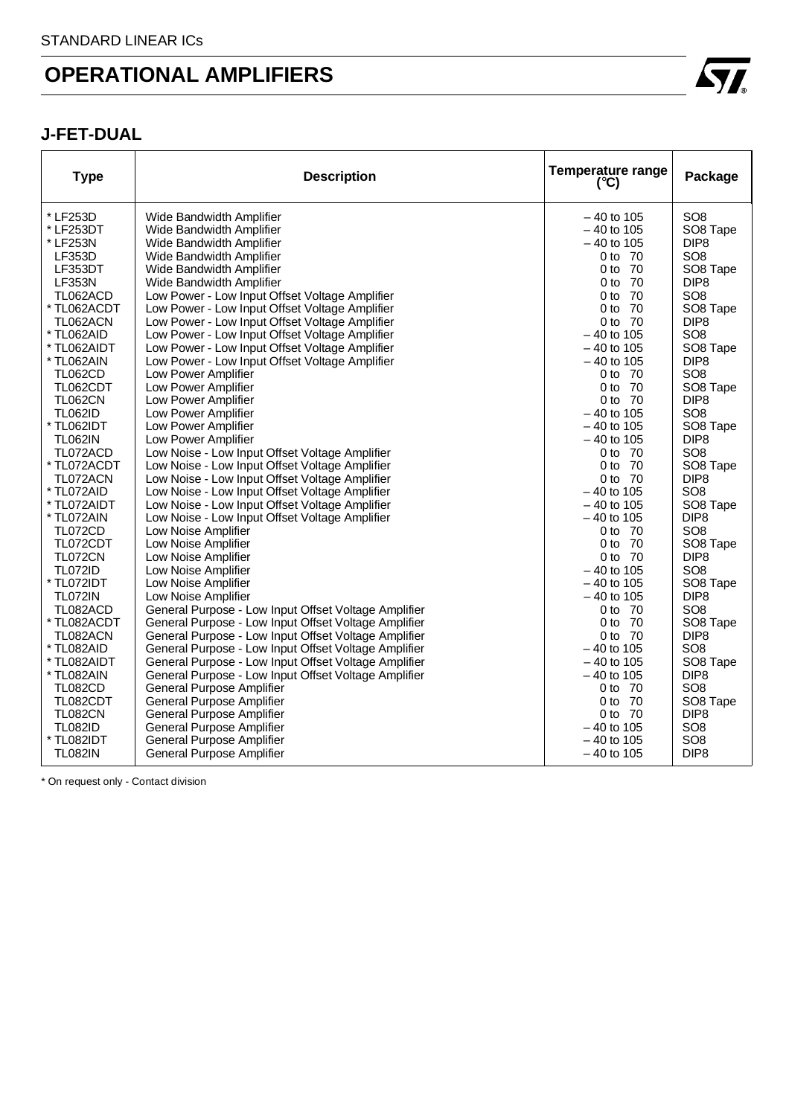### **J-FET-DUAL**

| <b>Type</b>    | <b>Description</b>                                   | <b>Temperature range</b><br>$(^{\circ}C)$ | Package              |
|----------------|------------------------------------------------------|-------------------------------------------|----------------------|
| * LF253D       | Wide Bandwidth Amplifier                             | $-40$ to 105                              | SO <sub>8</sub>      |
| * LF253DT      | Wide Bandwidth Amplifier                             | $-40$ to 105                              | SO8 Tape             |
| * LF253N       | Wide Bandwidth Amplifier                             | $-40$ to 105                              | DIP <sub>8</sub>     |
| <b>LF353D</b>  | Wide Bandwidth Amplifier                             | 0 to 70                                   | SO <sub>8</sub>      |
| LF353DT        | Wide Bandwidth Amplifier                             | 0 to 70                                   | SO8 Tape             |
| <b>LF353N</b>  | Wide Bandwidth Amplifier                             | 0 to 70                                   | DIP <sub>8</sub>     |
| TL062ACD       | Low Power - Low Input Offset Voltage Amplifier       | 0 to 70                                   | SO <sub>8</sub>      |
| * TL062ACDT    | Low Power - Low Input Offset Voltage Amplifier       | 0 to 70                                   | SO8 Tape             |
| TL062ACN       | Low Power - Low Input Offset Voltage Amplifier       | $0$ to $70$                               | DIP <sub>8</sub>     |
| * TL062AID     | Low Power - Low Input Offset Voltage Amplifier       | $-40$ to 105                              | SO <sub>8</sub>      |
| * TL062AIDT    | Low Power - Low Input Offset Voltage Amplifier       | $-40$ to 105                              | SO8 Tape             |
| * TL062AIN     | Low Power - Low Input Offset Voltage Amplifier       | $-40$ to 105                              | DIP <sub>8</sub>     |
| <b>TL062CD</b> | Low Power Amplifier                                  | 0 to 70                                   | SO <sub>8</sub>      |
| TL062CDT       | Low Power Amplifier                                  | 0 to 70                                   | SO8 Tape             |
| TL062CN        | Low Power Amplifier                                  | 0 to 70                                   | DIP <sub>8</sub>     |
| <b>TL062ID</b> | Low Power Amplifier                                  | $-40$ to 105                              | SO <sub>8</sub>      |
| * TL062IDT     | Low Power Amplifier                                  | $-40$ to 105                              | SO <sub>8</sub> Tape |
| <b>TL062IN</b> | Low Power Amplifier                                  | $-40$ to 105                              | DIP <sub>8</sub>     |
| TL072ACD       | Low Noise - Low Input Offset Voltage Amplifier       | 0 to 70                                   | SO <sub>8</sub>      |
| * TL072ACDT    | Low Noise - Low Input Offset Voltage Amplifier       | 0 to 70                                   | SO8 Tape             |
| TL072ACN       | Low Noise - Low Input Offset Voltage Amplifier       | 0 to 70                                   | DIP <sub>8</sub>     |
| * TL072AID     | Low Noise - Low Input Offset Voltage Amplifier       | $-40$ to 105                              | SO <sub>8</sub>      |
| * TL072AIDT    | Low Noise - Low Input Offset Voltage Amplifier       | $-40$ to 105                              | SO8 Tape             |
| * TL072AIN     | Low Noise - Low Input Offset Voltage Amplifier       | $-40$ to 105                              | DIP <sub>8</sub>     |
| TL072CD        | Low Noise Amplifier                                  | 0 to 70                                   | SO <sub>8</sub>      |
| TL072CDT       | Low Noise Amplifier                                  | 0 to 70                                   | SO8 Tape             |
| <b>TL072CN</b> | Low Noise Amplifier                                  | 0 to 70                                   | DIP <sub>8</sub>     |
| <b>TL072ID</b> | Low Noise Amplifier                                  | $-40$ to 105                              | SO <sub>8</sub>      |
| * TL072IDT     | Low Noise Amplifier                                  | $-40$ to 105                              | SO8 Tape             |
| <b>TL072IN</b> | Low Noise Amplifier                                  | $-40$ to 105                              | DIP <sub>8</sub>     |
| TL082ACD       | General Purpose - Low Input Offset Voltage Amplifier | 0 to 70                                   | SO <sub>8</sub>      |
| * TL082ACDT    | General Purpose - Low Input Offset Voltage Amplifier | 0 to 70                                   | SO8 Tape             |
| TL082ACN       | General Purpose - Low Input Offset Voltage Amplifier | 0 to 70                                   | DIP <sub>8</sub>     |
| * TL082AID     | General Purpose - Low Input Offset Voltage Amplifier | $-40$ to 105                              | SO <sub>8</sub>      |
| * TL082AIDT    | General Purpose - Low Input Offset Voltage Amplifier | $-40$ to 105                              | SO8 Tape             |
| * TL082AIN     | General Purpose - Low Input Offset Voltage Amplifier | $-40$ to 105                              | DIP <sub>8</sub>     |
| <b>TL082CD</b> | General Purpose Amplifier                            | 0 to 70                                   | SO <sub>8</sub>      |
| TL082CDT       | <b>General Purpose Amplifier</b>                     | 0 to 70                                   | SO8 Tape             |
| <b>TL082CN</b> | General Purpose Amplifier                            | 0 to 70                                   | DIP <sub>8</sub>     |
| <b>TL082ID</b> | General Purpose Amplifier                            | $-40$ to 105                              | SO <sub>8</sub>      |
| * TL082IDT     | General Purpose Amplifier                            | $-40$ to 105                              | SO <sub>8</sub>      |
| <b>TL082IN</b> | General Purpose Amplifier                            | $-40$ to 105                              | DIP <sub>8</sub>     |

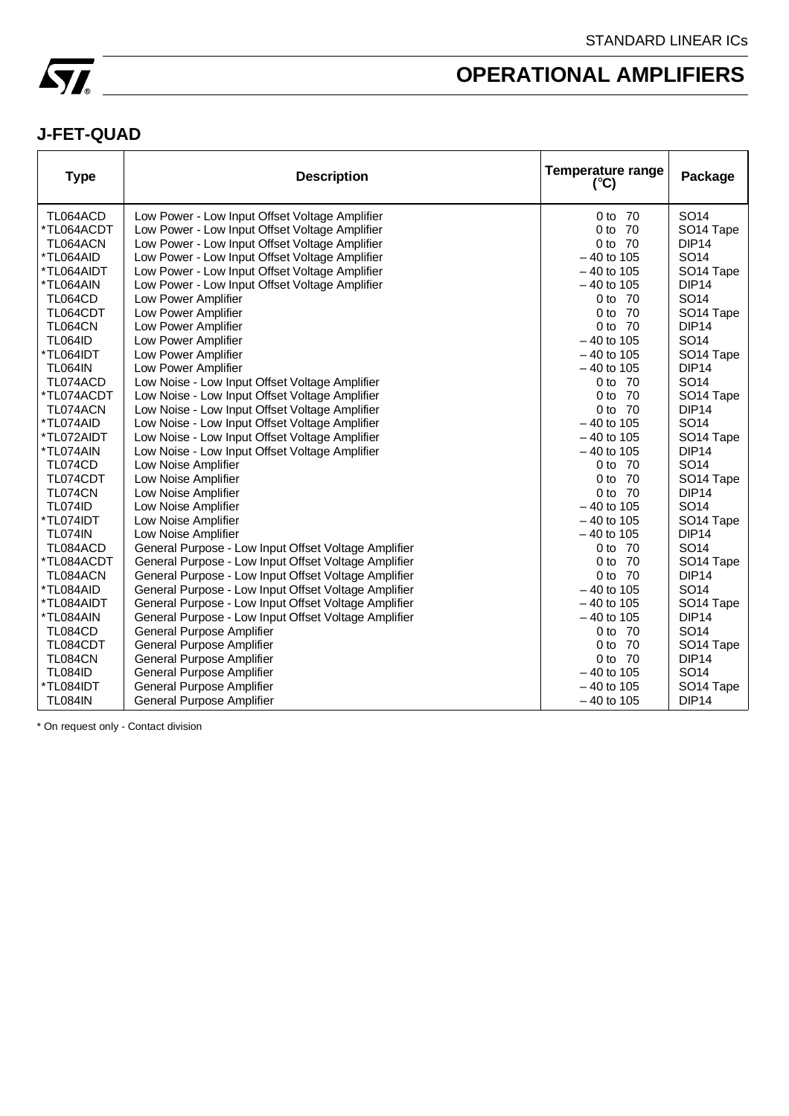

### **J-FET-QUAD**

| <b>Type</b>    | <b>Description</b>                                   | Temperature range<br>$(^{\circ}C)$ | Package               |
|----------------|------------------------------------------------------|------------------------------------|-----------------------|
| TL064ACD       | Low Power - Low Input Offset Voltage Amplifier       | 0 to 70                            | SO <sub>14</sub>      |
| *TL064ACDT     | Low Power - Low Input Offset Voltage Amplifier       | -70<br>0 to                        | SO <sub>14</sub> Tape |
| TL064ACN       | Low Power - Low Input Offset Voltage Amplifier       | - 70<br>0 to                       | DIP <sub>14</sub>     |
| *TL064AID      | Low Power - Low Input Offset Voltage Amplifier       | $-40$ to 105                       | SO <sub>14</sub>      |
| *TL064AIDT     | Low Power - Low Input Offset Voltage Amplifier       | $-40$ to 105                       | SO <sub>14</sub> Tape |
| *TL064AIN      | Low Power - Low Input Offset Voltage Amplifier       | $-40$ to 105                       | DIP <sub>14</sub>     |
| <b>TL064CD</b> | Low Power Amplifier                                  | 0 to 70                            | SO <sub>14</sub>      |
| TL064CDT       | Low Power Amplifier                                  | 0 to 70                            | SO <sub>14</sub> Tape |
| <b>TL064CN</b> | Low Power Amplifier                                  | 0 to 70                            | DIP <sub>14</sub>     |
| <b>TL064ID</b> | Low Power Amplifier                                  | $-40$ to 105                       | SO <sub>14</sub>      |
| *TL064IDT      | Low Power Amplifier                                  | $-40$ to 105                       | SO <sub>14</sub> Tape |
| <b>TL064IN</b> | Low Power Amplifier                                  | $-40$ to 105                       | DIP <sub>14</sub>     |
| TL074ACD       | Low Noise - Low Input Offset Voltage Amplifier       | 0 to 70                            | SO14                  |
| *TL074ACDT     | Low Noise - Low Input Offset Voltage Amplifier       | -70<br>0 <sub>to</sub>             | SO <sub>14</sub> Tape |
| TL074ACN       | Low Noise - Low Input Offset Voltage Amplifier       | - 70<br>0 to                       | DIP <sub>14</sub>     |
| *TL074AID      | Low Noise - Low Input Offset Voltage Amplifier       | $-40$ to 105                       | SO <sub>14</sub>      |
| *TL072AIDT     | Low Noise - Low Input Offset Voltage Amplifier       | $-40$ to 105                       | SO <sub>14</sub> Tape |
| *TL074AIN      | Low Noise - Low Input Offset Voltage Amplifier       | $-40$ to 105                       | DIP <sub>14</sub>     |
| TL074CD        | Low Noise Amplifier                                  | 0 to 70                            | SO <sub>14</sub>      |
| TL074CDT       | Low Noise Amplifier                                  | 0 to 70                            | SO <sub>14</sub> Tape |
| TL074CN        | Low Noise Amplifier                                  | - 70<br>0 <sub>to</sub>            | DIP <sub>14</sub>     |
| <b>TL074ID</b> | Low Noise Amplifier                                  | $-40$ to 105                       | SO <sub>14</sub>      |
| *TL074IDT      | Low Noise Amplifier                                  | $-40$ to 105                       | SO <sub>14</sub> Tape |
| <b>TL074IN</b> | Low Noise Amplifier                                  | $-40$ to 105                       | DIP <sub>14</sub>     |
| TL084ACD       | General Purpose - Low Input Offset Voltage Amplifier | 0 to 70                            | SO <sub>14</sub>      |
| *TL084ACDT     | General Purpose - Low Input Offset Voltage Amplifier | 0 to 70                            | SO <sub>14</sub> Tape |
| TL084ACN       | General Purpose - Low Input Offset Voltage Amplifier | 0 to 70                            | DIP <sub>14</sub>     |
| *TL084AID      | General Purpose - Low Input Offset Voltage Amplifier | $-40$ to 105                       | SO14                  |
| *TL084AIDT     | General Purpose - Low Input Offset Voltage Amplifier | $-40$ to 105                       | SO <sub>14</sub> Tape |
| *TL084AIN      | General Purpose - Low Input Offset Voltage Amplifier | $-40$ to 105                       | DIP <sub>14</sub>     |
| TL084CD        | <b>General Purpose Amplifier</b>                     | 0 to 70                            | SO <sub>14</sub>      |
| TL084CDT       | General Purpose Amplifier                            | 0 <sub>to</sub><br>-70             | SO <sub>14</sub> Tape |
| <b>TL084CN</b> | General Purpose Amplifier                            | 0 to 70                            | DIP <sub>14</sub>     |
| <b>TL084ID</b> | General Purpose Amplifier                            | $-40$ to 105                       | SO <sub>14</sub>      |
| *TL084IDT      | <b>General Purpose Amplifier</b>                     | $-40$ to 105                       | SO <sub>14</sub> Tape |
| <b>TL084IN</b> | General Purpose Amplifier                            | $-40$ to 105                       | DIP <sub>14</sub>     |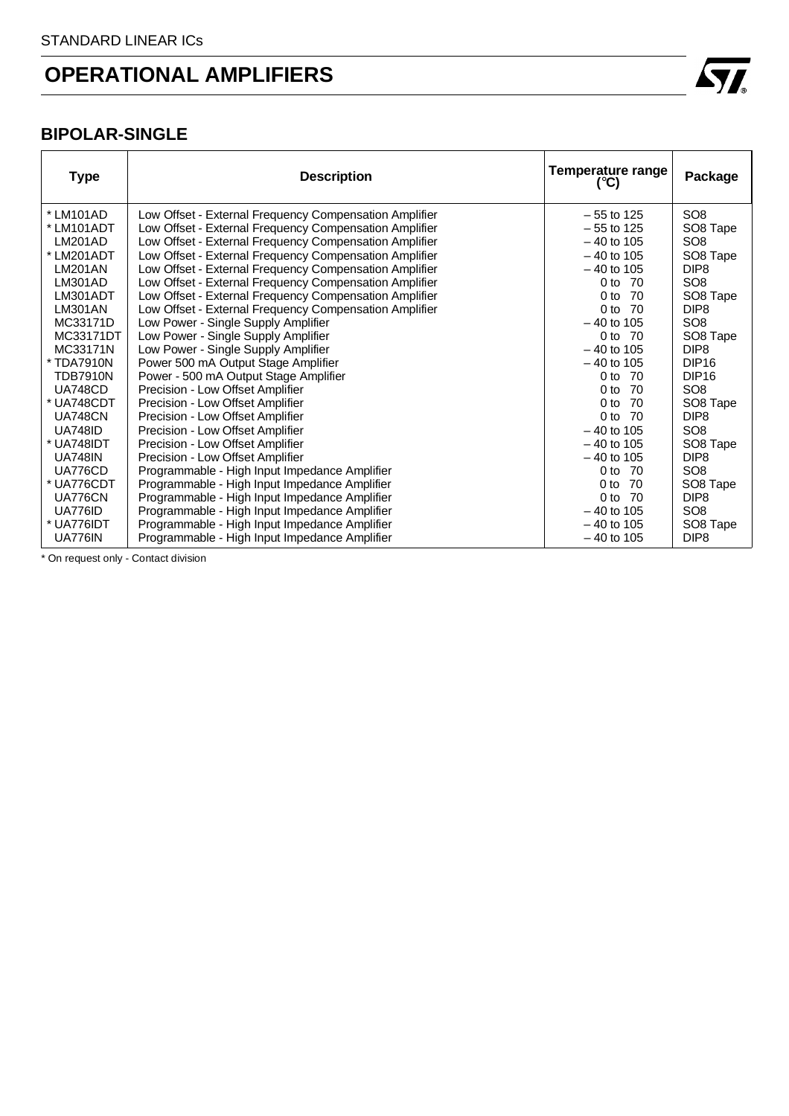

### **BIPOLAR-SINGLE**

| <b>Type</b>     | <b>Description</b>                                     | Temperature range<br>(°C) | Package           |
|-----------------|--------------------------------------------------------|---------------------------|-------------------|
| * LM101AD       | Low Offset - External Frequency Compensation Amplifier | $-55$ to 125              | SO <sub>8</sub>   |
| * LM101ADT      | Low Offset - External Frequency Compensation Amplifier | $-55$ to 125              | SO8 Tape          |
| <b>LM201AD</b>  | Low Offset - External Frequency Compensation Amplifier | $-40$ to 105              | SO <sub>8</sub>   |
| * LM201ADT      | Low Offset - External Frequency Compensation Amplifier | $-40$ to 105              | SO8 Tape          |
| <b>LM201AN</b>  | Low Offset - External Frequency Compensation Amplifier | $-40$ to 105              | DIP <sub>8</sub>  |
| LM301AD         | Low Offset - External Frequency Compensation Amplifier | 0 to 70                   | SO <sub>8</sub>   |
| LM301ADT        | Low Offset - External Frequency Compensation Amplifier | 0 <sub>to</sub><br>-70    | SO8 Tape          |
| LM301AN         | Low Offset - External Frequency Compensation Amplifier | 0 <sub>to</sub><br>-70    | DIP <sub>8</sub>  |
| MC33171D        | Low Power - Single Supply Amplifier                    | $-40$ to 105              | SO <sub>8</sub>   |
| MC33171DT       | Low Power - Single Supply Amplifier                    | 0 to 70                   | SO8 Tape          |
| MC33171N        | Low Power - Single Supply Amplifier                    | $-40$ to 105              | DIP <sub>8</sub>  |
| * TDA7910N      | Power 500 mA Output Stage Amplifier                    | $-40$ to 105              | DIP <sub>16</sub> |
| <b>TDB7910N</b> | Power - 500 mA Output Stage Amplifier                  | $0$ to $70$               | DIP <sub>16</sub> |
| <b>UA748CD</b>  | Precision - Low Offset Amplifier                       | - 70<br>0 to              | SO <sub>8</sub>   |
| * UA748CDT      | Precision - Low Offset Amplifier                       | 0 <sub>to</sub><br>70     | SO8 Tape          |
| <b>UA748CN</b>  | Precision - Low Offset Amplifier                       | 0 <sub>to</sub><br>70     | DIP <sub>8</sub>  |
| <b>UA748ID</b>  | Precision - Low Offset Amplifier                       | $-40$ to 105              | SO <sub>8</sub>   |
| * UA748IDT      | Precision - Low Offset Amplifier                       | $-40$ to 105              | SO8 Tape          |
| <b>UA748IN</b>  | Precision - Low Offset Amplifier                       | $-40$ to 105              | DIP <sub>8</sub>  |
| UA776CD         | Programmable - High Input Impedance Amplifier          | 0 to 70                   | SO <sub>8</sub>   |
| * UA776CDT      | Programmable - High Input Impedance Amplifier          | 0 <sub>to</sub><br>-70    | SO8 Tape          |
| <b>UA776CN</b>  | Programmable - High Input Impedance Amplifier          | 0 to<br>-70               | DIP <sub>8</sub>  |
| UA776ID         | Programmable - High Input Impedance Amplifier          | $-40$ to 105              | SO <sub>8</sub>   |
| * UA776IDT      | Programmable - High Input Impedance Amplifier          | $-40$ to 105              | SO8 Tape          |
| <b>UA776IN</b>  | Programmable - High Input Impedance Amplifier          | $-40$ to 105              | DIP <sub>8</sub>  |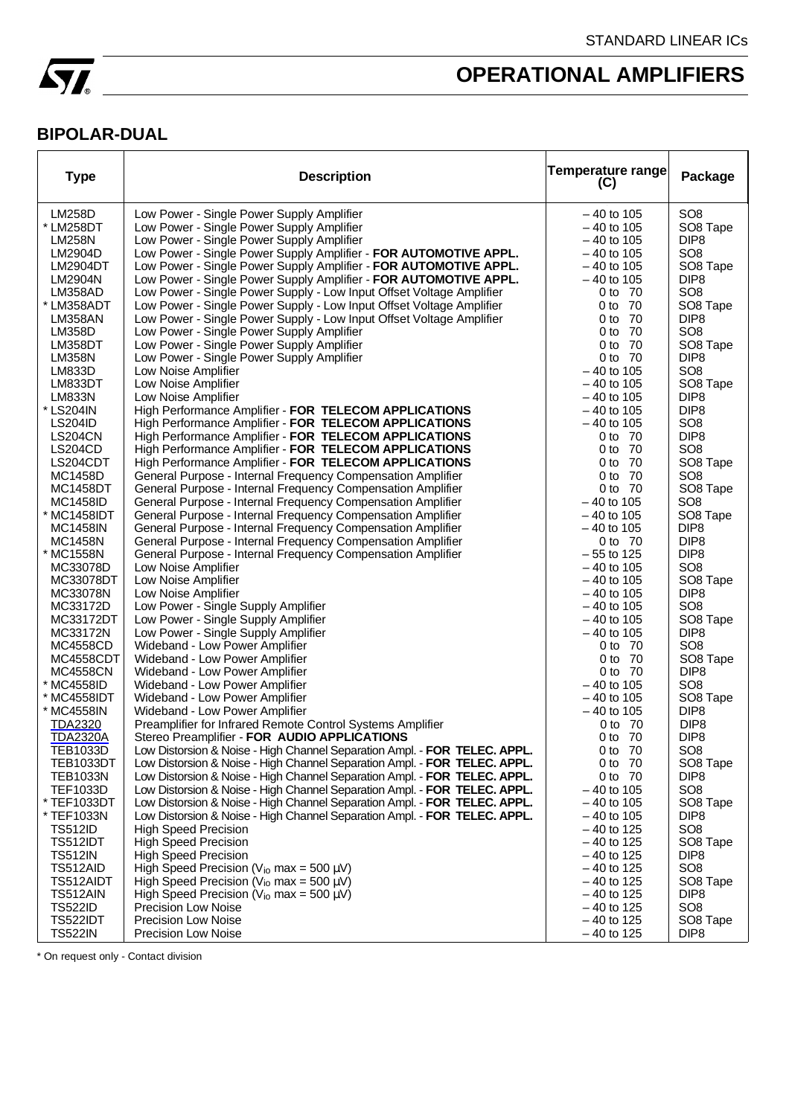

### **BIPOLAR-DUAL**

| <b>Type</b>                   | <b>Description</b>                                                        | <b>Temperature range</b><br>(C) | Package                             |
|-------------------------------|---------------------------------------------------------------------------|---------------------------------|-------------------------------------|
| <b>LM258D</b>                 | Low Power - Single Power Supply Amplifier                                 | $-40$ to 105                    | SO <sub>8</sub>                     |
| * LM258DT                     | Low Power - Single Power Supply Amplifier                                 | $-40$ to 105                    | SO8 Tape                            |
| <b>LM258N</b>                 | Low Power - Single Power Supply Amplifier                                 | $-40$ to 105                    | DIP <sub>8</sub>                    |
| LM2904D                       | Low Power - Single Power Supply Amplifier - FOR AUTOMOTIVE APPL.          | $-40$ to 105                    | SO <sub>8</sub>                     |
| <b>LM2904DT</b>               | Low Power - Single Power Supply Amplifier - FOR AUTOMOTIVE APPL.          | $-40$ to 105                    | SO8 Tape                            |
| LM2904N                       | Low Power - Single Power Supply Amplifier - FOR AUTOMOTIVE APPL.          | $-40$ to 105                    | DIP <sub>8</sub>                    |
| LM358AD                       | Low Power - Single Power Supply - Low Input Offset Voltage Amplifier      | 0 to 70                         | SO <sub>8</sub>                     |
| * LM358ADT                    | Low Power - Single Power Supply - Low Input Offset Voltage Amplifier      | 0 to 70                         | SO8 Tape                            |
| <b>LM358AN</b>                | Low Power - Single Power Supply - Low Input Offset Voltage Amplifier      | 0 to 70                         | DIP <sub>8</sub>                    |
| <b>LM358D</b>                 | Low Power - Single Power Supply Amplifier                                 | 0 to 70                         | SO <sub>8</sub>                     |
| LM358DT                       | Low Power - Single Power Supply Amplifier                                 | 0 to 70                         | SO <sub>8</sub> Tape                |
| <b>LM358N</b>                 | Low Power - Single Power Supply Amplifier                                 | 0 to 70                         | DIP <sub>8</sub>                    |
| LM833D                        | Low Noise Amplifier                                                       | $-40$ to 105                    | SO <sub>8</sub>                     |
| LM833DT<br><b>LM833N</b>      | Low Noise Amplifier<br>Low Noise Amplifier                                | $-40$ to 105<br>$-40$ to 105    | SO8 Tape<br>DIP <sub>8</sub>        |
| * LS204IN                     | High Performance Amplifier - FOR TELECOM APPLICATIONS                     | $-40$ to 105                    | DIP <sub>8</sub>                    |
| <b>LS204ID</b>                | High Performance Amplifier - FOR TELECOM APPLICATIONS                     | $-40$ to 105                    | SO <sub>8</sub>                     |
| <b>LS204CN</b>                | High Performance Amplifier - FOR TELECOM APPLICATIONS                     | 0 to 70                         | DIP <sub>8</sub>                    |
| <b>LS204CD</b>                | High Performance Amplifier - FOR TELECOM APPLICATIONS                     | 0 to 70                         | SO <sub>8</sub>                     |
| LS204CDT                      | High Performance Amplifier - FOR TELECOM APPLICATIONS                     | 0 to 70                         | SO8 Tape                            |
| <b>MC1458D</b>                | General Purpose - Internal Frequency Compensation Amplifier               | 0 to 70                         | SO <sub>8</sub>                     |
| <b>MC1458DT</b>               | General Purpose - Internal Frequency Compensation Amplifier               | 0 to 70                         | SO <sub>8</sub> Tape                |
| <b>MC1458ID</b>               | General Purpose - Internal Frequency Compensation Amplifier               | $-40$ to 105                    | SO <sub>8</sub>                     |
| * MC1458IDT                   | General Purpose - Internal Frequency Compensation Amplifier               | $-40$ to 105                    | SO8 Tape                            |
| <b>MC1458IN</b>               | General Purpose - Internal Frequency Compensation Amplifier               | $-40$ to 105                    | DIP <sub>8</sub>                    |
| <b>MC1458N</b>                | General Purpose - Internal Frequency Compensation Amplifier               | 0 to 70                         | DIP <sub>8</sub>                    |
| * MC1558N                     | General Purpose - Internal Frequency Compensation Amplifier               | $-55$ to 125                    | DIP <sub>8</sub>                    |
| MC33078D                      | Low Noise Amplifier                                                       | $-40$ to 105                    | SO <sub>8</sub>                     |
| MC33078DT                     | Low Noise Amplifier                                                       | $-40$ to 105                    | SO8 Tape                            |
| MC33078N                      | Low Noise Amplifier                                                       | $-40$ to 105                    | DIP <sub>8</sub>                    |
| MC33172D                      | Low Power - Single Supply Amplifier                                       | $-40$ to 105                    | SO <sub>8</sub>                     |
| MC33172DT                     | Low Power - Single Supply Amplifier                                       | $-40$ to 105                    | SO8 Tape                            |
| MC33172N                      | Low Power - Single Supply Amplifier                                       | $-40$ to 105                    | DIP <sub>8</sub>                    |
| <b>MC4558CD</b>               | Wideband - Low Power Amplifier                                            | 0 to 70                         | SO <sub>8</sub>                     |
| <b>MC4558CDT</b>              | Wideband - Low Power Amplifier                                            | 0 to 70                         | SO8 Tape                            |
| <b>MC4558CN</b><br>* MC4558ID | Wideband - Low Power Amplifier                                            | 0 to 70<br>$-40$ to 105         | DIP <sub>8</sub><br>SO <sub>8</sub> |
| * MC4558IDT                   | Wideband - Low Power Amplifier<br>Wideband - Low Power Amplifier          | $-40$ to 105                    | SO <sub>8</sub> Tape                |
| * MC4558IN                    | Wideband - Low Power Amplifier                                            | $-40$ to 105                    | DIP <sub>8</sub>                    |
| <b>TDA2320</b>                | Preamplifier for Infrared Remote Control Systems Amplifier                | 0 to 70                         | DIP <sub>8</sub>                    |
| <b>TDA2320A</b>               | Stereo Preamplifier - FOR AUDIO APPLICATIONS                              | 0 to 70                         | DIP <sub>8</sub>                    |
| IEB1033D                      | Low Distorsion & Noise - High Channel Separation Ampl. - FOR TELEC. APPL. | 0 to $70$                       | SO8                                 |
| TEB1033DT                     | Low Distorsion & Noise - High Channel Separation Ampl. - FOR TELEC. APPL. | 0 to 70                         | SO8 Tape                            |
| <b>TEB1033N</b>               | Low Distorsion & Noise - High Channel Separation Ampl. - FOR TELEC. APPL. | 0 to 70                         | DIP <sub>8</sub>                    |
| <b>TEF1033D</b>               | Low Distorsion & Noise - High Channel Separation Ampl. - FOR TELEC. APPL. | $-40$ to 105                    | SO <sub>8</sub>                     |
| * TEF1033DT                   | Low Distorsion & Noise - High Channel Separation Ampl. - FOR TELEC. APPL. | $-40$ to 105                    | SO8 Tape                            |
| * TEF1033N                    | Low Distorsion & Noise - High Channel Separation Ampl. - FOR TELEC. APPL. | $-40$ to 105                    | DIP <sub>8</sub>                    |
| <b>TS512ID</b>                | <b>High Speed Precision</b>                                               | $-40$ to 125                    | SO <sub>8</sub>                     |
| <b>TS512IDT</b>               | <b>High Speed Precision</b>                                               | $-40$ to 125                    | SO8 Tape                            |
| <b>TS512IN</b>                | <b>High Speed Precision</b>                                               | $-40$ to 125                    | DIP <sub>8</sub>                    |
| TS512AID                      | High Speed Precision ( $V_{io}$ max = 500 $\mu$ V)                        | $-40$ to 125                    | SO <sub>8</sub>                     |
| TS512AIDT                     | High Speed Precision ( $V_{io}$ max = 500 $\mu$ V)                        | $-40$ to 125                    | SO <sub>8</sub> Tape                |
| TS512AIN                      | High Speed Precision ( $V_{io}$ max = 500 $\mu$ V)                        | $-40$ to 125                    | DIP <sub>8</sub>                    |
| <b>TS522ID</b>                | <b>Precision Low Noise</b>                                                | $-40$ to 125                    | SO <sub>8</sub>                     |
| <b>TS522IDT</b>               | <b>Precision Low Noise</b>                                                | $-40$ to 125                    | SO8 Tape                            |
| <b>TS522IN</b>                | <b>Precision Low Noise</b>                                                | $-40$ to 125                    | DIP <sub>8</sub>                    |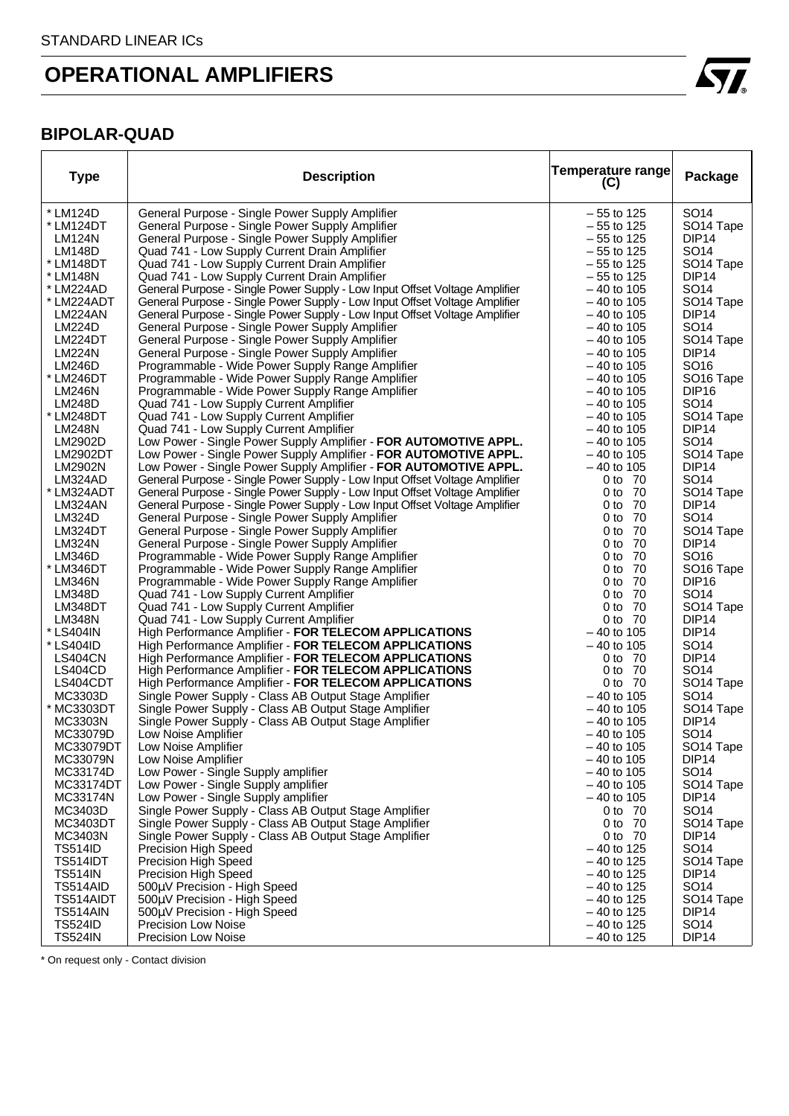

#### **BIPOLAR-QUAD**

| <b>Type</b>                    | <b>Description</b>                                                                                             | <b>Temperature range</b><br>(C) | Package                                   |
|--------------------------------|----------------------------------------------------------------------------------------------------------------|---------------------------------|-------------------------------------------|
| * LM124D                       | General Purpose - Single Power Supply Amplifier                                                                | $-55$ to 125                    | SO <sub>14</sub>                          |
| * LM124DT                      | General Purpose - Single Power Supply Amplifier                                                                | $-55$ to 125                    | SO <sub>14</sub> Tape                     |
| <b>LM124N</b>                  | General Purpose - Single Power Supply Amplifier                                                                | $-55$ to 125                    | DIP <sub>14</sub>                         |
| LM148D                         | Quad 741 - Low Supply Current Drain Amplifier                                                                  | $-55$ to 125                    | SO <sub>14</sub>                          |
| * LM148DT                      | Quad 741 - Low Supply Current Drain Amplifier                                                                  | $-55$ to 125                    | SO <sub>14</sub> Tape                     |
| * LM148N                       | Quad 741 - Low Supply Current Drain Amplifier                                                                  | $-55$ to 125                    | DIP <sub>14</sub>                         |
| * LM224AD                      | General Purpose - Single Power Supply - Low Input Offset Voltage Amplifier                                     | $-40$ to 105                    | SO <sub>14</sub>                          |
| * LM224ADT                     | General Purpose - Single Power Supply - Low Input Offset Voltage Amplifier                                     | $-40$ to 105                    | SO <sub>14</sub> Tape                     |
| LM224AN                        | General Purpose - Single Power Supply - Low Input Offset Voltage Amplifier                                     | $-40$ to 105                    | DIP <sub>14</sub>                         |
| <b>LM224D</b>                  | General Purpose - Single Power Supply Amplifier                                                                | $-40$ to 105                    | SO <sub>14</sub>                          |
| LM224DT                        | General Purpose - Single Power Supply Amplifier                                                                | $-40$ to 105                    | SO <sub>14</sub> Tape                     |
| <b>LM224N</b>                  | General Purpose - Single Power Supply Amplifier                                                                | $-40$ to 105                    | DIP <sub>14</sub>                         |
| <b>LM246D</b>                  | Programmable - Wide Power Supply Range Amplifier                                                               | $-40$ to 105                    | SO <sub>16</sub>                          |
| * LM246DT                      | Programmable - Wide Power Supply Range Amplifier                                                               | $-40$ to 105                    | SO <sub>16</sub> Tape                     |
| <b>LM246N</b><br><b>LM248D</b> | Programmable - Wide Power Supply Range Amplifier                                                               | $-40$ to 105                    | DIP <sub>16</sub><br>SO <sub>14</sub>     |
| * LM248DT                      | Quad 741 - Low Supply Current Amplifier<br>Quad 741 - Low Supply Current Amplifier                             | $-40$ to 105<br>– 40 to 105     | SO <sub>14</sub> Tape                     |
| <b>LM248N</b>                  | Quad 741 - Low Supply Current Amplifier                                                                        | $-40$ to 105                    | DIP <sub>14</sub>                         |
| LM2902D                        | Low Power - Single Power Supply Amplifier - FOR AUTOMOTIVE APPL.                                               | $-40$ to 105                    | SO <sub>14</sub>                          |
| LM2902DT                       | Low Power - Single Power Supply Amplifier - FOR AUTOMOTIVE APPL.                                               | $-40$ to 105                    | SO <sub>14</sub> Tape                     |
| LM2902N                        | Low Power - Single Power Supply Amplifier - FOR AUTOMOTIVE APPL.                                               | $-40$ to 105                    | DIP <sub>14</sub>                         |
| LM324AD                        | General Purpose - Single Power Supply - Low Input Offset Voltage Amplifier                                     | 0 to 70                         | SO <sub>14</sub>                          |
| * LM324ADT                     | General Purpose - Single Power Supply - Low Input Offset Voltage Amplifier                                     | 0 to 70                         | SO <sub>14</sub> Tape                     |
| LM324AN                        | General Purpose - Single Power Supply - Low Input Offset Voltage Amplifier                                     | 0 to 70                         | DIP <sub>14</sub>                         |
| <b>LM324D</b>                  | General Purpose - Single Power Supply Amplifier                                                                | 0 to 70                         | SO <sub>14</sub>                          |
| LM324DT                        | General Purpose - Single Power Supply Amplifier                                                                | 0 to 70                         | SO <sub>14</sub> Tape                     |
| <b>LM324N</b>                  | General Purpose - Single Power Supply Amplifier                                                                | 0 to 70                         | DIP <sub>14</sub>                         |
| <b>LM346D</b>                  | Programmable - Wide Power Supply Range Amplifier                                                               | 0 to 70                         | SO <sub>16</sub>                          |
| * LM346DT                      | Programmable - Wide Power Supply Range Amplifier                                                               | 0 to 70                         | SO <sub>16</sub> Tape                     |
| <b>LM346N</b>                  | Programmable - Wide Power Supply Range Amplifier                                                               | 0 to 70                         | DIP <sub>16</sub>                         |
| <b>LM348D</b>                  | Quad 741 - Low Supply Current Amplifier                                                                        | 0 to 70                         | SO <sub>14</sub>                          |
| LM348DT                        | Quad 741 - Low Supply Current Amplifier                                                                        | 0 to 70                         | SO <sub>14</sub> Tape                     |
| <b>LM348N</b><br>* LS404IN     | Quad 741 - Low Supply Current Amplifier                                                                        | 0 to 70<br>$-40$ to 105         | DIP <sub>14</sub><br>DIP <sub>14</sub>    |
| * LS404ID                      | High Performance Amplifier - FOR TELECOM APPLICATIONS<br>High Performance Amplifier - FOR TELECOM APPLICATIONS | $-40$ to 105                    | SO <sub>14</sub>                          |
| LS404CN                        | High Performance Amplifier - FOR TELECOM APPLICATIONS                                                          | 0 to 70                         | DIP <sub>14</sub>                         |
| <b>LS404CD</b>                 | High Performance Amplifier - FOR TELECOM APPLICATIONS                                                          | 0 to 70                         | SO <sub>14</sub>                          |
| LS404CDT                       | High Performance Amplifier - FOR TELECOM APPLICATIONS                                                          | 0 to 70                         | SO <sub>14</sub> Tape                     |
| MC3303D                        | Single Power Supply - Class AB Output Stage Amplifier                                                          | $-40$ to 105                    | SO <sub>14</sub>                          |
| * MC3303DT                     | Single Power Supply - Class AB Output Stage Amplifier                                                          | $-40$ to 105                    | SO <sub>14</sub> Tape                     |
| MC3303N                        | Single Power Supply - Class AB Output Stage Amplifier                                                          | $-40$ to 105                    | DIP <sub>14</sub>                         |
| MC33079D                       | Low Noise Amplifier                                                                                            | $-40$ to 105                    | SO <sub>14</sub>                          |
| MC33079DT                      | Low Noise Amplifier                                                                                            | $-40$ to 105                    | SO <sub>14</sub> Tape                     |
| MC33079N                       | Low Noise Amplifier                                                                                            | $-40$ to 105                    | DIP <sub>14</sub>                         |
| MC33174D                       | Low Power - Single Supply amplifier                                                                            | $-40$ to 105                    | SO <sub>14</sub>                          |
| MC33174DT                      | Low Power - Single Supply amplifier                                                                            | $-40$ to 105                    | SO <sub>14</sub> Tape                     |
| MC33174N                       | Low Power - Single Supply amplifier                                                                            | $-40$ to 105                    | DIP <sub>14</sub>                         |
| MC3403D<br>MC3403DT            | Single Power Supply - Class AB Output Stage Amplifier<br>Single Power Supply - Class AB Output Stage Amplifier | 0 to 70<br>0 to 70              | SO <sub>14</sub><br>SO <sub>14</sub> Tape |
| MC3403N                        | Single Power Supply - Class AB Output Stage Amplifier                                                          | 0 to 70                         | DIP <sub>14</sub>                         |
| <b>TS514ID</b>                 | <b>Precision High Speed</b>                                                                                    | $-40$ to 125                    | SO <sub>14</sub>                          |
| <b>TS514IDT</b>                | <b>Precision High Speed</b>                                                                                    | $-40$ to 125                    | SO <sub>14</sub> Tape                     |
| <b>TS514IN</b>                 | Precision High Speed                                                                                           | $-40$ to 125                    | DIP <sub>14</sub>                         |
| TS514AID                       | 500µV Precision - High Speed                                                                                   | $-40$ to 125                    | SO <sub>14</sub>                          |
| TS514AIDT                      | 500µV Precision - High Speed                                                                                   | $-40$ to 125                    | SO <sub>14</sub> Tape                     |
| TS514AIN                       | 500µV Precision - High Speed                                                                                   | $-40$ to 125                    | DIP <sub>14</sub>                         |
| <b>TS524ID</b>                 | <b>Precision Low Noise</b>                                                                                     | $-40$ to 125                    | SO <sub>14</sub>                          |
| <b>TS524IN</b>                 | <b>Precision Low Noise</b>                                                                                     | $-40$ to 125                    | DIP <sub>14</sub>                         |